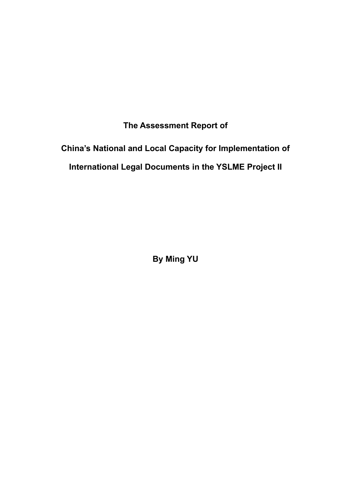**The Assessment Report of** 

## **China's National and Local Capacity for Implementation of International Legal Documents in the YSLME Project II**

**By Ming YU**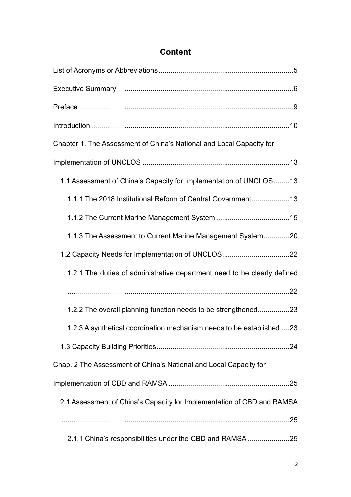| Chapter 1. The Assessment of China's National and Local Capacity for     |
|--------------------------------------------------------------------------|
|                                                                          |
| 1.1 Assessment of China's Capacity for Implementation of UNCLOS 13       |
| 1.1.1 The 2018 Institutional Reform of Central Government13              |
|                                                                          |
| 1.1.3 The Assessment to Current Marine Management System20               |
| 1.2 Capacity Needs for Implementation of UNCLOS22                        |
| 1.2.1 The duties of administrative department need to be clearly defined |
|                                                                          |
| 1.2.2 The overall planning function needs to be strengthened23           |
| 1.2.3 A synthetical coordination mechanism needs to be established 23    |
|                                                                          |
| Chap. 2 The Assessment of China's National and Local Capacity for        |
|                                                                          |
| 2.1 Assessment of China's Capacity for Implementation of CBD and RAMSA   |
|                                                                          |
| 2.1.1 China's responsibilities under the CBD and RAMSA 25                |

### **Content**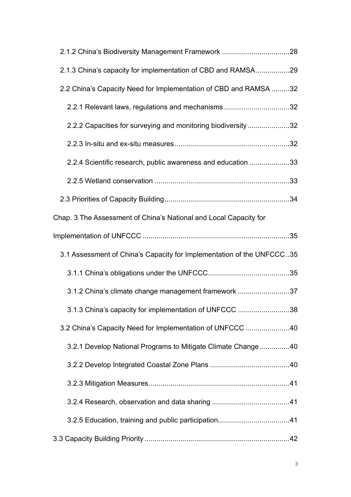| 2.1.3 China's capacity for implementation of CBD and RAMSA29          |  |
|-----------------------------------------------------------------------|--|
| 2.2 China's Capacity Need for Implementation of CBD and RAMSA 32      |  |
| 2.2.1 Relevant laws, regulations and mechanisms32                     |  |
| 2.2.2 Capacities for surveying and monitoring biodiversity 32         |  |
|                                                                       |  |
| 2.2.4 Scientific research, public awareness and education 33          |  |
|                                                                       |  |
|                                                                       |  |
| Chap. 3 The Assessment of China's National and Local Capacity for     |  |
|                                                                       |  |
|                                                                       |  |
| 3.1 Assessment of China's Capacity for Implementation of the UNFCCC35 |  |
|                                                                       |  |
| 3.1.2 China's climate change management framework 37                  |  |
| 3.1.3 China's capacity for implementation of UNFCCC 38                |  |
| 3.2 China's Capacity Need for Implementation of UNFCCC 40             |  |
| 3.2.1 Develop National Programs to Mitigate Climate Change40          |  |
|                                                                       |  |
|                                                                       |  |
|                                                                       |  |
|                                                                       |  |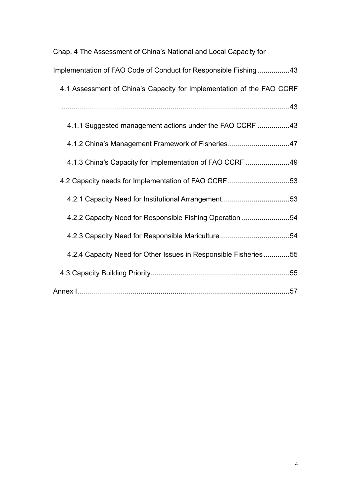| Chap. 4 The Assessment of China's National and Local Capacity for     |
|-----------------------------------------------------------------------|
| Implementation of FAO Code of Conduct for Responsible Fishing43       |
| 4.1 Assessment of China's Capacity for Implementation of the FAO CCRF |
|                                                                       |
| 4.1.1 Suggested management actions under the FAO CCRF 43              |
| 4.1.2 China's Management Framework of Fisheries47                     |
| 4.1.3 China's Capacity for Implementation of FAO CCRF 49              |
| 4.2 Capacity needs for Implementation of FAO CCRF 53                  |
|                                                                       |
| 4.2.2 Capacity Need for Responsible Fishing Operation 54              |
| 4.2.3 Capacity Need for Responsible Mariculture54                     |
| 4.2.4 Capacity Need for Other Issues in Responsible Fisheries55       |
|                                                                       |
|                                                                       |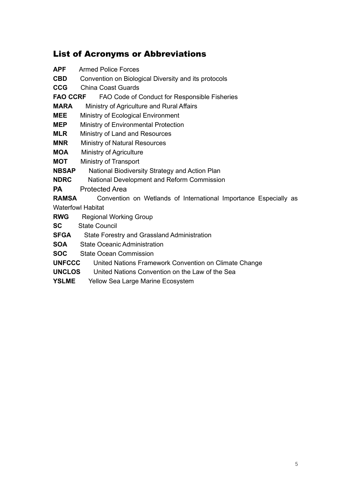### List of Acronyms or Abbreviations

| APF             | <b>Armed Police Forces</b>                                       |  |  |
|-----------------|------------------------------------------------------------------|--|--|
| CBD             | Convention on Biological Diversity and its protocols             |  |  |
| <b>CCG</b>      | China Coast Guards                                               |  |  |
| <b>FAO CCRF</b> | FAO Code of Conduct for Responsible Fisheries                    |  |  |
| MARA            | Ministry of Agriculture and Rural Affairs                        |  |  |
| MEE             | Ministry of Ecological Environment                               |  |  |
| MEP             | Ministry of Environmental Protection                             |  |  |
| <b>MLR</b>      | Ministry of Land and Resources                                   |  |  |
| MNR             | <b>Ministry of Natural Resources</b>                             |  |  |
| MOA             | Ministry of Agriculture                                          |  |  |
| МОТ             | Ministry of Transport                                            |  |  |
| NBSAP           | National Biodiversity Strategy and Action Plan                   |  |  |
| <b>NDRC</b>     | National Development and Reform Commission                       |  |  |
| PA              | <b>Protected Area</b>                                            |  |  |
| RAMSA           | Convention on Wetlands of International Importance Especially as |  |  |
|                 | <b>Waterfowl Habitat</b>                                         |  |  |
| <b>RWG</b>      | <b>Regional Working Group</b>                                    |  |  |
| SC              | <b>State Council</b>                                             |  |  |
| SFGA            | State Forestry and Grassland Administration                      |  |  |
| SOA             | <b>State Oceanic Administration</b>                              |  |  |
| SOC             | <b>State Ocean Commission</b>                                    |  |  |
| <b>UNFCCC</b>   | United Nations Framework Convention on Climate Change            |  |  |
| <b>UNCLOS</b>   | United Nations Convention on the Law of the Sea                  |  |  |
|                 |                                                                  |  |  |

**YSLME** Yellow Sea Large Marine Ecosystem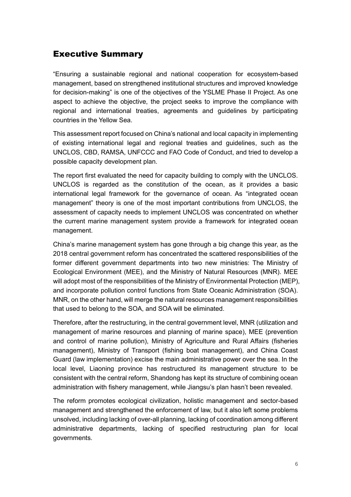### Executive Summary

"Ensuring a sustainable regional and national cooperation for ecosystem-based management, based on strengthened institutional structures and improved knowledge for decision-making" is one of the objectives of the YSLME Phase II Project. As one aspect to achieve the objective, the project seeks to improve the compliance with regional and international treaties, agreements and guidelines by participating countries in the Yellow Sea.

This assessment report focused on China's national and local capacity in implementing of existing international legal and regional treaties and guidelines, such as the UNCLOS, CBD, RAMSA, UNFCCC and FAO Code of Conduct, and tried to develop a possible capacity development plan.

The report first evaluated the need for capacity building to comply with the UNCLOS. UNCLOS is regarded as the constitution of the ocean, as it provides a basic international legal framework for the governance of ocean. As "integrated ocean management" theory is one of the most important contributions from UNCLOS, the assessment of capacity needs to implement UNCLOS was concentrated on whether the current marine management system provide a framework for integrated ocean management.

China's marine management system has gone through a big change this year, as the 2018 central government reform has concentrated the scattered responsibilities of the former different government departments into two new ministries: The Ministry of Ecological Environment (MEE), and the Ministry of Natural Resources (MNR). MEE will adopt most of the responsibilities of the Ministry of Environmental Protection (MEP), and incorporate pollution control functions from State Oceanic Administration (SOA). MNR, on the other hand, will merge the natural resources management responsibilities that used to belong to the SOA, and SOA will be eliminated.

Therefore, after the restructuring, in the central government level, MNR (utilization and management of marine resources and planning of marine space), MEE (prevention and control of marine pollution), Ministry of Agriculture and Rural Affairs (fisheries management), Ministry of Transport (fishing boat management), and China Coast Guard (law implementation) excise the main administrative power over the sea. In the local level, Liaoning province has restructured its management structure to be consistent with the central reform, Shandong has kept its structure of combining ocean administration with fishery management, while Jiangsu's plan hasn't been revealed.

The reform promotes ecological civilization, holistic management and sector-based management and strengthened the enforcement of law, but it also left some problems unsolved, including lacking of over-all planning, lacking of coordination among different administrative departments, lacking of specified restructuring plan for local governments.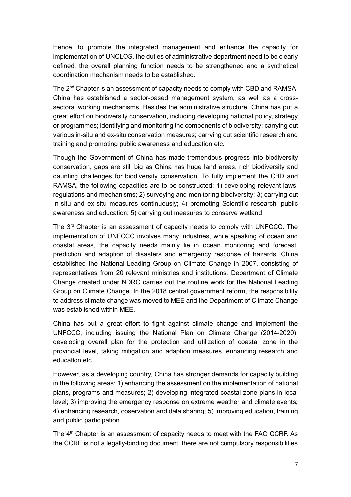Hence, to promote the integrated management and enhance the capacity for implementation of UNCLOS, the duties of administrative department need to be clearly defined, the overall planning function needs to be strengthened and a synthetical coordination mechanism needs to be established.

The 2<sup>nd</sup> Chapter is an assessment of capacity needs to comply with CBD and RAMSA. China has established a sector-based management system, as well as a crosssectoral working mechanisms. Besides the administrative structure, China has put a great effort on biodiversity conservation, including developing national policy, strategy or programmes; identifying and monitoring the components of biodiversity; carrying out various in-situ and ex-situ conservation measures; carrying out scientific research and training and promoting public awareness and education etc.

Though the Government of China has made tremendous progress into biodiversity conservation, gaps are still big as China has huge land areas, rich biodiversity and daunting challenges for biodiversity conservation. To fully implement the CBD and RAMSA, the following capacities are to be constructed: 1) developing relevant laws, regulations and mechanisms; 2) surveying and monitoring biodiversity; 3) carrying out In-situ and ex-situ measures continuously; 4) promoting Scientific research, public awareness and education; 5) carrying out measures to conserve wetland.

The 3rd Chapter is an assessment of capacity needs to comply with UNFCCC. The implementation of UNFCCC involves many industries, while speaking of ocean and coastal areas, the capacity needs mainly lie in ocean monitoring and forecast, prediction and adaption of disasters and emergency response of hazards. China established the National Leading Group on Climate Change in 2007, consisting of representatives from 20 relevant ministries and institutions. Department of Climate Change created under NDRC carries out the routine work for the National Leading Group on Climate Change. In the 2018 central government reform, the responsibility to address climate change was moved to MEE and the Department of Climate Change was established within MEE.

China has put a great effort to fight against climate change and implement the UNFCCC, including issuing the National Plan on Climate Change (2014-2020), developing overall plan for the protection and utilization of coastal zone in the provincial level, taking mitigation and adaption measures, enhancing research and education etc.

However, as a developing country, China has stronger demands for capacity building in the following areas: 1) enhancing the assessment on the implementation of national plans, programs and measures; 2) developing integrated coastal zone plans in local level; 3) improving the emergency response on extreme weather and climate events; 4) enhancing research, observation and data sharing; 5) improving education, training and public participation.

The 4<sup>th</sup> Chapter is an assessment of capacity needs to meet with the FAO CCRF. As the CCRF is not a legally-binding document, there are not compulsory responsibilities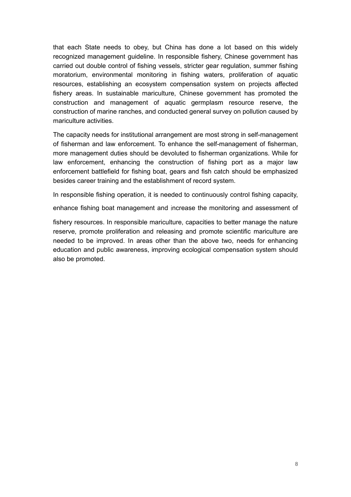that each State needs to obey, but China has done a lot based on this widely recognized management guideline. In responsible fishery, Chinese government has carried out double control of fishing vessels, stricter gear regulation, summer fishing moratorium, environmental monitoring in fishing waters, proliferation of aquatic resources, establishing an ecosystem compensation system on projects affected fishery areas. In sustainable mariculture, Chinese government has promoted the construction and management of aquatic germplasm resource reserve, the construction of marine ranches, and conducted general survey on pollution caused by mariculture activities.

The capacity needs for institutional arrangement are most strong in self-management of fisherman and law enforcement. To enhance the self-management of fisherman, more management duties should be devoluted to fisherman organizations. While for law enforcement, enhancing the construction of fishing port as a major law enforcement battlefield for fishing boat, gears and fish catch should be emphasized besides career training and the establishment of record system.

In responsible fishing operation, it is needed to continuously control fishing capacity,

enhance fishing boat management and increase the monitoring and assessment of

fishery resources. In responsible mariculture, capacities to better manage the nature reserve, promote proliferation and releasing and promote scientific mariculture are needed to be improved. In areas other than the above two, needs for enhancing education and public awareness, improving ecological compensation system should also be promoted.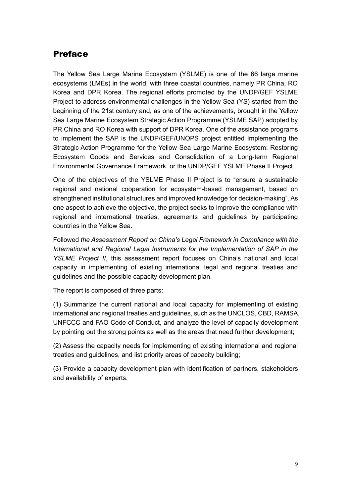### Preface

The Yellow Sea Large Marine Ecosystem (YSLME) is one of the 66 large marine ecosystems (LMEs) in the world, with three coastal countries, namely PR China, RO Korea and DPR Korea. The regional efforts promoted by the UNDP/GEF YSLME Project to address environmental challenges in the Yellow Sea (YS) started from the beginning of the 21st century and, as one of the achievements, brought in the Yellow Sea Large Marine Ecosystem Strategic Action Programme (YSLME SAP) adopted by PR China and RO Korea with support of DPR Korea. One of the assistance programs to implement the SAP is the UNDP/GEF/UNOPS project entitled Implementing the Strategic Action Programme for the Yellow Sea Large Marine Ecosystem: Restoring Ecosystem Goods and Services and Consolidation of a Long-term Regional Environmental Governance Framework, or the UNDP/GEF YSLME Phase II Project.

One of the objectives of the YSLME Phase II Project is to "ensure a sustainable regional and national cooperation for ecosystem-based management, based on strengthened institutional structures and improved knowledge for decision-making". As one aspect to achieve the objective, the project seeks to improve the compliance with regional and international treaties, agreements and guidelines by participating countries in the Yellow Sea.

Followed *the Assessment Report on China's Legal Framework in Compliance with the International and Regional Legal Instruments for the Implementation of SAP in the YSLME Project II*, this assessment report focuses on China's national and local capacity in implementing of existing international legal and regional treaties and guidelines and the possible capacity development plan.

The report is composed of three parts:

(1) Summarize the current national and local capacity for implementing of existing international and regional treaties and guidelines, such as the UNCLOS, CBD, RAMSA, UNFCCC and FAO Code of Conduct, and analyze the level of capacity development by pointing out the strong points as well as the areas that need further development;

(2) Assess the capacity needs for implementing of existing international and regional treaties and guidelines, and list priority areas of capacity building;

(3) Provide a capacity development plan with identification of partners, stakeholders and availability of experts.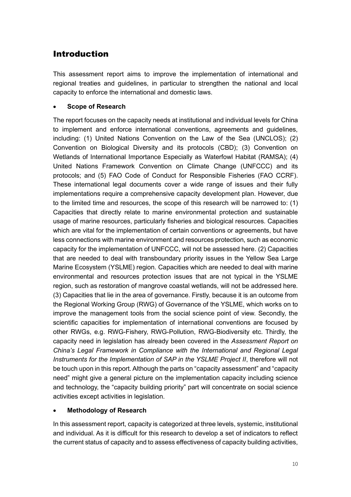### Introduction

This assessment report aims to improve the implementation of international and regional treaties and guidelines, in particular to strengthen the national and local capacity to enforce the international and domestic laws.

### • **Scope of Research**

The report focuses on the capacity needs at institutional and individual levels for China to implement and enforce international conventions, agreements and guidelines, including: (1) United Nations Convention on the Law of the Sea (UNCLOS); (2) Convention on Biological Diversity and its protocols (CBD); (3) Convention on Wetlands of International Importance Especially as Waterfowl Habitat (RAMSA); (4) United Nations Framework Convention on Climate Change (UNFCCC) and its protocols; and (5) FAO Code of Conduct for Responsible Fisheries (FAO CCRF). These international legal documents cover a wide range of issues and their fully implementations require a comprehensive capacity development plan. However, due to the limited time and resources, the scope of this research will be narrowed to: (1) Capacities that directly relate to marine environmental protection and sustainable usage of marine resources, particularly fisheries and biological resources. Capacities which are vital for the implementation of certain conventions or agreements, but have less connections with marine environment and resources protection, such as economic capacity for the implementation of UNFCCC, will not be assessed here. (2) Capacities that are needed to deal with transboundary priority issues in the Yellow Sea Large Marine Ecosystem (YSLME) region. Capacities which are needed to deal with marine environmental and resources protection issues that are not typical in the YSLME region, such as restoration of mangrove coastal wetlands, will not be addressed here. (3) Capacities that lie in the area of governance. Firstly, because it is an outcome from the Regional Working Group (RWG) of Governance of the YSLME, which works on to improve the management tools from the social science point of view. Secondly, the scientific capacities for implementation of international conventions are focused by other RWGs, e.g. RWG-Fishery, RWG-Pollution, RWG-Biodiversity etc. Thirdly, the capacity need in legislation has already been covered in the *Assessment Report on China's Legal Framework in Compliance with the International and Regional Legal Instruments for the Implementation of SAP in the YSLME Project II*, therefore will not be touch upon in this report. Although the parts on "capacity assessment" and "capacity need" might give a general picture on the implementation capacity including science and technology, the "capacity building priority" part will concentrate on social science activities except activities in legislation.

### • **Methodology of Research**

In this assessment report, capacity is categorized at three levels, systemic, institutional and individual. As it is difficult for this research to develop a set of indicators to reflect the current status of capacity and to assess effectiveness of capacity building activities,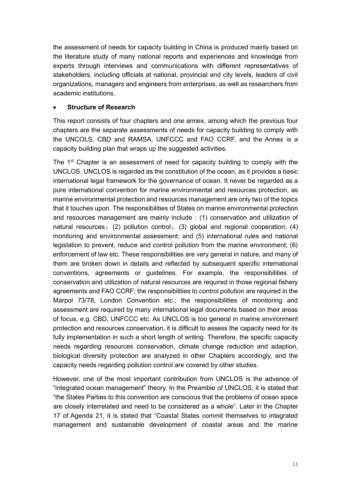the assessment of needs for capacity building in China is produced mainly based on the literature study of many national reports and experiences and knowledge from experts through interviews and communications with different representatives of stakeholders, including officials at national, provincial and city levels, leaders of civil organizations, managers and engineers from enterprises, as well as researchers from academic institutions.

#### • **Structure of Research**

This report consists of four chapters and one annex, among which the previous four chapters are the separate assessments of needs for capacity building to comply with the UNCOLS, CBD and RAMSA, UNFCCC and FAO CCRF, and the Annex is a capacity building plan that wraps up the suggested activities.

The  $1<sup>st</sup>$  Chapter is an assessment of need for capacity building to comply with the UNCLOS. UNCLOS is regarded as the constitution of the ocean, as it provides a basic international legal framework for the governance of ocean. It never be regarded as a pure international convention for marine environmental and resources protection, as marine environmental protection and resources management are only two of the topics that it touches upon. The responsibilities of States on marine environmental protection and resources management are mainly include : (1) conservation and utilization of natural resources;(2) pollution control;(3) global and regional cooperation; (4) monitoring and environmental assessment; and (5) international rules and national legislation to prevent, reduce and control pollution from the marine environment; (6) enforcement of law etc. These responsibilities are very general in nature, and many of them are broken down in details and reflected by subsequent specific international conventions, agreements or guidelines. For example, the responsibilities of conservation and utilization of natural resources are required in those regional fishery agreements and FAO CCRF; the responsibilities to control pollution are required in the Marpol 73/78, London Convention etc.; the responsibilities of monitoring and assessment are required by many international legal documents based on their areas of focus, e.g. CBD, UNFCCC etc. As UNCLOS is too general in marine environment protection and resources conservation, it is difficult to assess the capacity need for its fully implementation in such a short length of writing. Therefore, the specific capacity needs regarding resources conservation, climate change reduction and adaption, biological diversity protection are analyzed in other Chapters accordingly, and the capacity needs regarding pollution control are covered by other studies.

However, one of the most important contribution from UNCLOS is the advance of "integrated ocean management" theory. In the Preamble of UNCLOS, it is stated that "the States Parties to this convention are conscious that the problems of ocean space are closely interrelated and need to be considered as a whole". Later in the Chapter 17 of Agenda 21, it is stated that "Coastal States commit themselves to integrated management and sustainable development of coastal areas and the marine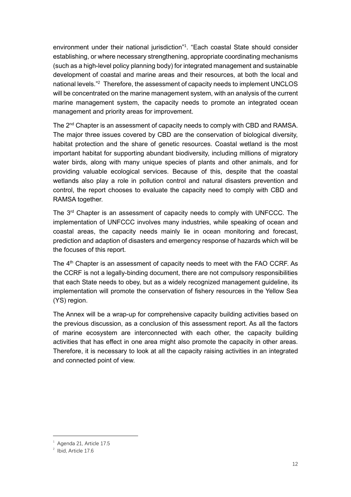environment under their national jurisdiction" 1 . "Each coastal State should consider establishing, or where necessary strengthening, appropriate coordinating mechanisms (such as a high-level policy planning body) for integrated management and sustainable development of coastal and marine areas and their resources, at both the local and national levels." <sup>2</sup> Therefore, the assessment of capacity needs to implement UNCLOS will be concentrated on the marine management system, with an analysis of the current marine management system, the capacity needs to promote an integrated ocean management and priority areas for improvement.

The 2<sup>nd</sup> Chapter is an assessment of capacity needs to comply with CBD and RAMSA. The major three issues covered by CBD are the conservation of biological diversity, habitat protection and the share of genetic resources. Coastal wetland is the most important habitat for supporting abundant biodiversity, including millions of migratory water birds, along with many unique species of plants and other animals, and for providing valuable ecological services. Because of this, despite that the coastal wetlands also play a role in pollution control and natural disasters prevention and control, the report chooses to evaluate the capacity need to comply with CBD and RAMSA together.

The 3<sup>rd</sup> Chapter is an assessment of capacity needs to comply with UNFCCC. The implementation of UNFCCC involves many industries, while speaking of ocean and coastal areas, the capacity needs mainly lie in ocean monitoring and forecast, prediction and adaption of disasters and emergency response of hazards which will be the focuses of this report.

The 4<sup>th</sup> Chapter is an assessment of capacity needs to meet with the FAO CCRF. As the CCRF is not a legally-binding document, there are not compulsory responsibilities that each State needs to obey, but as a widely recognized management guideline, its implementation will promote the conservation of fishery resources in the Yellow Sea (YS) region.

The Annex will be a wrap-up for comprehensive capacity building activities based on the previous discussion, as a conclusion of this assessment report. As all the factors of marine ecosystem are interconnected with each other, the capacity building activities that has effect in one area might also promote the capacity in other areas. Therefore, it is necessary to look at all the capacity raising activities in an integrated and connected point of view.

 $^1$  Agenda 21, Article 17.5

<sup>&</sup>lt;sup>2</sup> Ibid, Article 17.6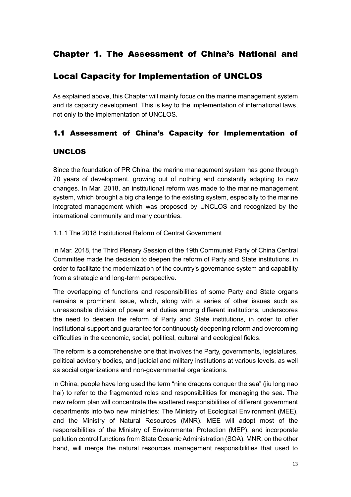### Chapter 1. The Assessment of China's National and

### Local Capacity for Implementation of UNCLOS

As explained above, this Chapter will mainly focus on the marine management system and its capacity development. This is key to the implementation of international laws, not only to the implementation of UNCLOS.

### 1.1 Assessment of China's Capacity for Implementation of

### UNCLOS

Since the foundation of PR China, the marine management system has gone through 70 years of development, growing out of nothing and constantly adapting to new changes. In Mar. 2018, an institutional reform was made to the marine management system, which brought a big challenge to the existing system, especially to the marine integrated management which was proposed by UNCLOS and recognized by the international community and many countries.

1.1.1 The 2018 Institutional Reform of Central Government

In Mar. 2018, the Third Plenary Session of the 19th Communist Party of China Central Committee made the decision to deepen the reform of Party and State institutions, in order to facilitate the modernization of the country's governance system and capability from a strategic and long-term perspective.

The overlapping of functions and responsibilities of some Party and State organs remains a prominent issue, which, along with a series of other issues such as unreasonable division of power and duties among different institutions, underscores the need to deepen the reform of Party and State institutions, in order to offer institutional support and guarantee for continuously deepening reform and overcoming difficulties in the economic, social, political, cultural and ecological fields.

The reform is a comprehensive one that involves the Party, governments, legislatures, political advisory bodies, and judicial and military institutions at various levels, as well as social organizations and non-governmental organizations.

In China, people have long used the term "nine dragons conquer the sea" (jiu long nao hai) to refer to the fragmented roles and responsibilities for managing the sea. The new reform plan will concentrate the scattered responsibilities of different government departments into two new ministries: The Ministry of Ecological Environment (MEE), and the Ministry of Natural Resources (MNR). MEE will adopt most of the responsibilities of the Ministry of Environmental Protection (MEP), and incorporate pollution control functions from State Oceanic Administration (SOA). MNR, on the other hand, will merge the natural resources management responsibilities that used to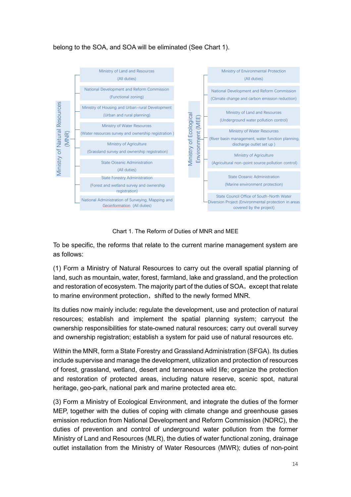### belong to the SOA, and SOA will be eliminated (See Chart 1).



Chart 1. The Reform of Duties of MNR and MEE

To be specific, the reforms that relate to the current marine management system are as follows:

(1) Form a Ministry of Natural Resources to carry out the overall spatial planning of land, such as mountain, water, forest, farmland, lake and grassland, and the protection and restoration of ecosystem. The majority part of the duties of SOA, except that relate to marine environment protection, shifted to the newly formed MNR.

Its duties now mainly include: regulate the development, use and protection of natural resources; establish and implement the spatial planning system; carryout the ownership responsibilities for state-owned natural resources; carry out overall survey and ownership registration; establish a system for paid use of natural resources etc.

Within the MNR, form a State Forestry and Grassland Administration (SFGA). Its duties include supervise and manage the development, utilization and protection of resources of forest, grassland, wetland, desert and terraneous wild life; organize the protection and restoration of protected areas, including nature reserve, scenic spot, natural heritage, geo-park, national park and marine protected area etc.

(3) Form a Ministry of Ecological Environment, and integrate the duties of the former MEP, together with the duties of coping with climate change and greenhouse gases emission reduction from National Development and Reform Commission (NDRC), the duties of prevention and control of underground water pollution from the former Ministry of Land and Resources (MLR), the duties of water functional zoning, drainage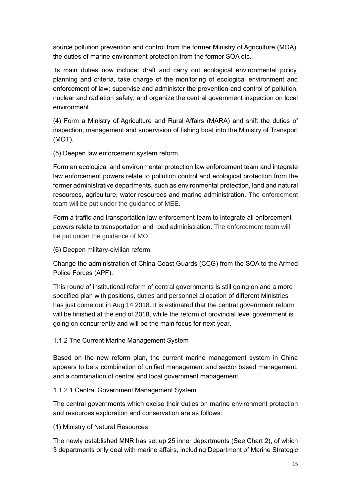source pollution prevention and control from the former Ministry of Agriculture (MOA); the duties of marine environment protection from the former SOA etc.

Its main duties now include: draft and carry out ecological environmental policy, planning and criteria, take charge of the monitoring of ecological environment and enforcement of law; supervise and administer the prevention and control of pollution, nuclear and radiation safety; and organize the central government inspection on local environment.

(4) Form a Ministry of Agriculture and Rural Affairs (MARA) and shift the duties of inspection, management and supervision of fishing boat into the Ministry of Transport (MOT).

(5) Deepen law enforcement system reform.

Form an ecological and environmental protection law enforcement team and integrate law enforcement powers relate to pollution control and ecological protection from the former administrative departments, such as environmental protection, land and natural resources, agriculture, water resources and marine administration. The enforcement team will be put under the guidance of MEE.

Form a traffic and transportation law enforcement team to integrate all enforcement powers relate to transportation and road administration. The enforcement team will be put under the guidance of MOT.

(6) Deepen military-civilian reform

Change the administration of China Coast Guards (CCG) from the SOA to the Armed Police Forces (APF).

This round of institutional reform of central governments is still going on and a more specified plan with positions, duties and personnel allocation of different Ministries has just come out in Aug 14 2018. It is estimated that the central government reform will be finished at the end of 2018, while the reform of provincial level government is going on concurrently and will be the main focus for next year.

### 1.1.2 The Current Marine Management System

Based on the new reform plan, the current marine management system in China appears to be a combination of unified management and sector based management, and a combination of central and local government management.

### 1.1.2.1 Central Government Management System

The central governments which excise their duties on marine environment protection and resources exploration and conservation are as follows:

(1) Ministry of Natural Resources

The newly established MNR has set up 25 inner departments (See Chart 2), of which 3 departments only deal with marine affairs, including Department of Marine Strategic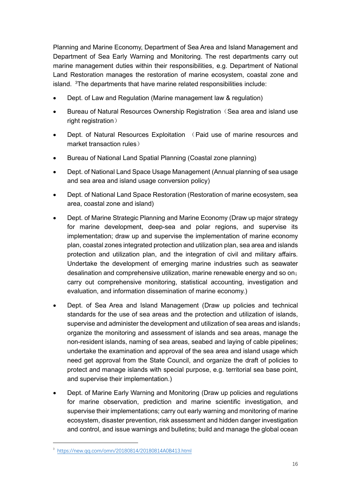Planning and Marine Economy, Department of Sea Area and Island Management and Department of Sea Early Warning and Monitoring. The rest departments carry out marine management duties within their responsibilities, e.g. Department of National Land Restoration manages the restoration of marine ecosystem, coastal zone and island. <sup>3</sup>The departments that have marine related responsibilities include:

- Dept. of Law and Regulation (Marine management law & regulation)
- Bureau of Natural Resources Ownership Registration (Sea area and island use right registration)
- Dept. of Natural Resources Exploitation (Paid use of marine resources and market transaction rules)
- Bureau of National Land Spatial Planning (Coastal zone planning)
- Dept. of National Land Space Usage Management (Annual planning of sea usage and sea area and island usage conversion policy)
- Dept. of National Land Space Restoration (Restoration of marine ecosystem, sea area, coastal zone and island)
- Dept. of Marine Strategic Planning and Marine Economy (Draw up major strategy for marine development, deep-sea and polar regions, and supervise its implementation; draw up and supervise the implementation of marine economy plan, coastal zones integrated protection and utilization plan, sea area and islands protection and utilization plan, and the integration of civil and military affairs. Undertake the development of emerging marine industries such as seawater desalination and comprehensive utilization, marine renewable energy and so on; carry out comprehensive monitoring, statistical accounting, investigation and evaluation, and information dissemination of marine economy.)
- Dept. of Sea Area and Island Management (Draw up policies and technical standards for the use of sea areas and the protection and utilization of islands, supervise and administer the development and utilization of sea areas and islands; organize the monitoring and assessment of islands and sea areas, manage the non-resident islands, naming of sea areas, seabed and laying of cable pipelines; undertake the examination and approval of the sea area and island usage which need get approval from the State Council, and organize the draft of policies to protect and manage islands with special purpose, e.g. territorial sea base point, and supervise their implementation.)
- Dept. of Marine Early Warning and Monitoring (Draw up policies and regulations for marine observation, prediction and marine scientific investigation, and supervise their implementations; carry out early warning and monitoring of marine ecosystem, disaster prevention, risk assessment and hidden danger investigation and control, and issue warnings and bulletins; build and manage the global ocean

<sup>3</sup> <https://new.qq.com/omn/20180814/20180814A0B413.html>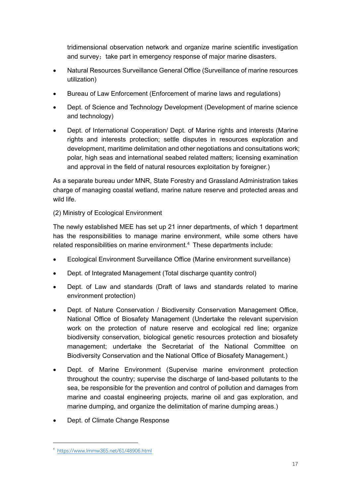tridimensional observation network and organize marine scientific investigation and survey; take part in emergency response of major marine disasters.

- Natural Resources Surveillance General Office (Surveillance of marine resources utilization)
- Bureau of Law Enforcement (Enforcement of marine laws and regulations)
- Dept. of Science and Technology Development (Development of marine science and technology)
- Dept. of International Cooperation/ Dept. of Marine rights and interests (Marine rights and interests protection; settle disputes in resources exploration and development, maritime delimitation and other negotiations and consultations work; polar, high seas and international seabed related matters; licensing examination and approval in the field of natural resources exploitation by foreigner.)

As a separate bureau under MNR, State Forestry and Grassland Administration takes charge of managing coastal wetland, marine nature reserve and protected areas and wild life.

### (2) Ministry of Ecological Environment

The newly established MEE has set up 21 inner departments, of which 1 department has the responsibilities to manage marine environment, while some others have related responsibilities on marine environment.<sup>4</sup> These departments include:

- Ecological Environment Surveillance Office (Marine environment surveillance)
- Dept. of Integrated Management (Total discharge quantity control)
- Dept. of Law and standards (Draft of laws and standards related to marine environment protection)
- Dept. of Nature Conservation / Biodiversity Conservation Management Office, National Office of Biosafety Management (Undertake the relevant supervision work on the protection of nature reserve and ecological red line; organize biodiversity conservation, biological genetic resources protection and biosafety management; undertake the Secretariat of the National Committee on Biodiversity Conservation and the National Office of Biosafety Management.)
- Dept. of Marine Environment (Supervise marine environment protection throughout the country; supervise the discharge of land-based pollutants to the sea, be responsible for the prevention and control of pollution and damages from marine and coastal engineering projects, marine oil and gas exploration, and marine dumping, and organize the delimitation of marine dumping areas.)
- Dept. of Climate Change Response

<sup>4</sup> <https://www.lmmw365.net/61/48906.html>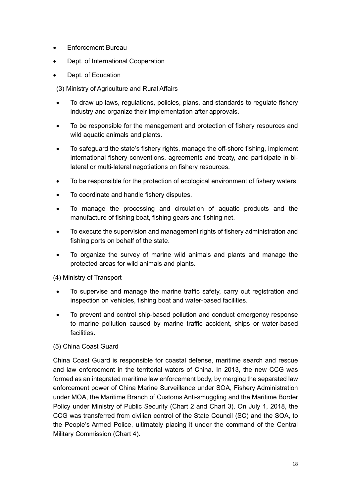- Enforcement Bureau
- Dept. of International Cooperation
- Dept. of Education
- (3) Ministry of Agriculture and Rural Affairs
- To draw up laws, regulations, policies, plans, and standards to regulate fishery industry and organize their implementation after approvals.
- To be responsible for the management and protection of fishery resources and wild aquatic animals and plants.
- To safeguard the state's fishery rights, manage the off-shore fishing, implement international fishery conventions, agreements and treaty, and participate in bilateral or multi-lateral negotiations on fishery resources.
- To be responsible for the protection of ecological environment of fishery waters.
- To coordinate and handle fishery disputes.
- To manage the processing and circulation of aquatic products and the manufacture of fishing boat, fishing gears and fishing net.
- To execute the supervision and management rights of fishery administration and fishing ports on behalf of the state.
- To organize the survey of marine wild animals and plants and manage the protected areas for wild animals and plants.

### (4) Ministry of Transport

- To supervise and manage the marine traffic safety, carry out registration and inspection on vehicles, fishing boat and water-based facilities.
- To prevent and control ship-based pollution and conduct emergency response to marine pollution caused by marine traffic accident, ships or water-based facilities.

### (5) China Coast Guard

China Coast Guard is responsible for coastal defense, maritime search and rescue and law enforcement in the territorial waters of China. In 2013, the new CCG was formed as an integrated maritime law enforcement body, by merging the separated law enforcement power of China Marine Surveillance under SOA, Fishery Administration under MOA, the Maritime Branch of Customs Anti-smuggling and the Maritime Border Policy under Ministry of Public Security (Chart 2 and Chart 3). On July 1, 2018, the CCG was transferred from civilian control of the State Council (SC) and the SOA, to the People's Armed Police, ultimately placing it under the command of the Central Military Commission (Chart 4).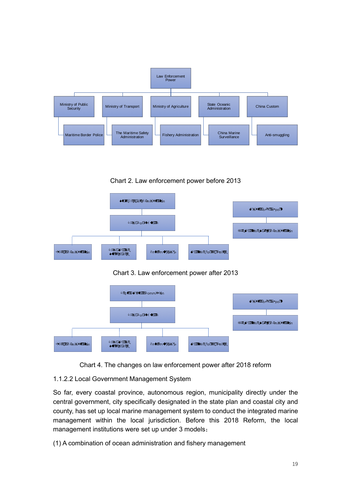

Chart 2. Law enforcement power before 2013







Chart 4. The changes on law enforcement power after 2018 reform

### 1.1.2.2 Local Government Management System

So far, every coastal province, autonomous region, municipality directly under the central government, city specifically designated in the state plan and coastal city and county, has set up local marine management system to conduct the integrated marine management within the local jurisdiction. Before this 2018 Reform, the local management institutions were set up under 3 models:

(1) A combination of ocean administration and fishery management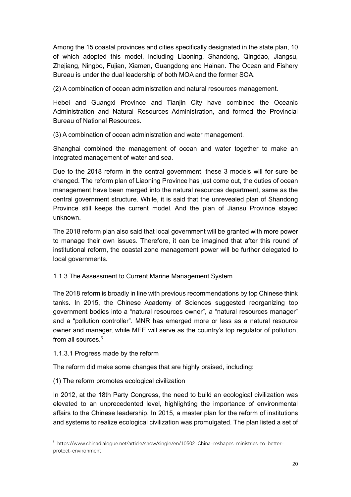Among the 15 coastal provinces and cities specifically designated in the state plan, 10 of which adopted this model, including Liaoning, Shandong, Qingdao, Jiangsu, Zhejiang, Ningbo, Fujian, Xiamen, Guangdong and Hainan. The Ocean and Fishery Bureau is under the dual leadership of both MOA and the former SOA.

(2) A combination of ocean administration and natural resources management.

Hebei and Guangxi Province and Tianjin City have combined the Oceanic Administration and Natural Resources Administration, and formed the Provincial Bureau of National Resources.

(3) A combination of ocean administration and water management.

Shanghai combined the management of ocean and water together to make an integrated management of water and sea.

Due to the 2018 reform in the central government, these 3 models will for sure be changed. The reform plan of Liaoning Province has just come out, the duties of ocean management have been merged into the natural resources department, same as the central government structure. While, it is said that the unrevealed plan of Shandong Province still keeps the current model. And the plan of Jiansu Province stayed unknown.

The 2018 reform plan also said that local government will be granted with more power to manage their own issues. Therefore, it can be imagined that after this round of institutional reform, the coastal zone management power will be further delegated to local governments.

1.1.3 The Assessment to Current Marine Management System

The 2018 reform is broadly in line with previous recommendations by top Chinese think tanks. In 2015, the Chinese Academy of Sciences suggested reorganizing top government bodies into a "natural resources owner", a "natural resources manager" and a "pollution controller". MNR has emerged more or less as a natural resource owner and manager, while MEE will serve as the country's top regulator of pollution, from all sources.<sup>5</sup>

1.1.3.1 Progress made by the reform

The reform did make some changes that are highly praised, including:

(1) The reform promotes ecological civilization

In 2012, at the 18th Party Congress, the need to build an ecological civilization was elevated to an unprecedented level, highlighting the importance of environmental affairs to the Chinese leadership. In 2015, a master plan for the reform of institutions and systems to realize ecological civilization was promulgated. The plan listed a set of

<sup>5</sup> https://www.chinadialogue.net/article/show/single/en/10502-China-reshapes-ministries-to-betterprotect-environment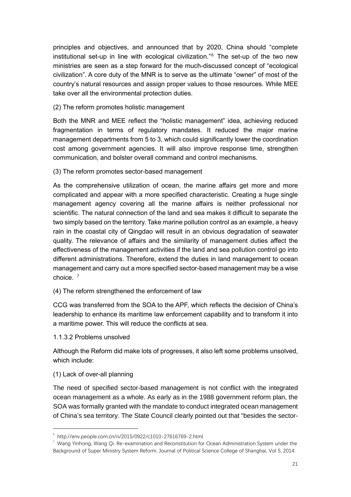principles and objectives, and announced that by 2020, China should "complete institutional set-up in line with ecological civilization."<sup>6</sup> The set-up of the two new ministries are seen as a step forward for the much-discussed concept of "ecological civilization". A core duty of the MNR is to serve as the ultimate "owner" of most of the country's natural resources and assign proper values to those resources. While MEE take over all the environmental protection duties.

(2) The reform promotes holistic management

Both the MNR and MEE reflect the "holistic management" idea, achieving reduced fragmentation in terms of regulatory mandates. It reduced the major marine management departments from 5 to 3, which could significantly lower the coordination cost among government agencies. It will also improve response time, strengthen communication, and bolster overall command and control mechanisms.

(3) The reform promotes sector-based management

As the comprehensive utilization of ocean, the marine affairs get more and more complicated and appear with a more specified characteristic. Creating a huge single management agency covering all the marine affairs is neither professional nor scientific. The natural connection of the land and sea makes it difficult to separate the two simply based on the territory. Take marine pollution control as an example, a heavy rain in the coastal city of Qingdao will result in an obvious degradation of seawater quality. The relevance of affairs and the similarity of management duties affect the effectiveness of the management activities if the land and sea pollution control go into different administrations. Therefore, extend the duties in land management to ocean management and carry out a more specified sector-based management may be a wise choice. <sup>7</sup>

(4) The reform strengthened the enforcement of law

CCG was transferred from the SOA to the APF, which reflects the decision of China's leadership to enhance its maritime law enforcement capability and to transform it into a maritime power. This will reduce the conflicts at sea.

1.1.3.2 Problems unsolved

Although the Reform did make lots of progresses, it also left some problems unsolved, which include:

### (1) Lack of over-all planning

The need of specified sector-based management is not conflict with the integrated ocean management as a whole. As early as in the 1988 government reform plan, the SOA was formally granted with the mandate to conduct integrated ocean management of China's sea territory. The State Council clearly pointed out that "besides the sector-

<sup>6</sup> http://env.people.com.cn/n/2015/0922/c1010-27616769-2.html

 $7$  Wang Yinhong, Wang Qi. Re-examination and Reconstitution for Ocean Administration System under the Background of Super Ministry System Reform. Journal of Political Science College of Shanghai, Vol 5, 2014.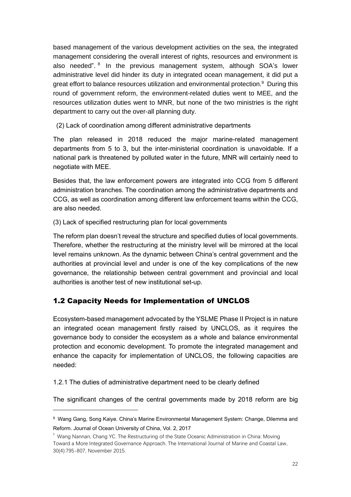based management of the various development activities on the sea, the integrated management considering the overall interest of rights, resources and environment is also needed". <sup>8</sup> In the previous management system, although SOA's lower administrative level did hinder its duty in integrated ocean management, it did put a great effort to balance resources utilization and environmental protection.<sup>9</sup> During this round of government reform, the environment-related duties went to MEE, and the resources utilization duties went to MNR, but none of the two ministries is the right department to carry out the over-all planning duty.

(2) Lack of coordination among different administrative departments

The plan released in 2018 reduced the major marine-related management departments from 5 to 3, but the inter-ministerial coordination is unavoidable. If a national park is threatened by polluted water in the future, MNR will certainly need to negotiate with MEE.

Besides that, the law enforcement powers are integrated into CCG from 5 different administration branches. The coordination among the administrative departments and CCG, as well as coordination among different law enforcement teams within the CCG, are also needed.

(3) Lack of specified restructuring plan for local governments

The reform plan doesn't reveal the structure and specified duties of local governments. Therefore, whether the restructuring at the ministry level will be mirrored at the local level remains unknown. As the dynamic between China's central government and the authorities at provincial level and under is one of the key complications of the new governance, the relationship between central government and provincial and local authorities is another test of new institutional set-up.

### 1.2 Capacity Needs for Implementation of UNCLOS

Ecosystem-based management advocated by the YSLME Phase II Project is in nature an integrated ocean management firstly raised by UNCLOS, as it requires the governance body to consider the ecosystem as a whole and balance environmental protection and economic development. To promote the integrated management and enhance the capacity for implementation of UNCLOS, the following capacities are needed:

1.2.1 The duties of administrative department need to be clearly defined

The significant changes of the central governments made by 2018 reform are big

<sup>8</sup> Wang Gang, Song Kaiye. China's Marine Environmental Management System: Change, Dilemma and Reform. Journal of Ocean University of China, Vol. 2, 2017

<sup>9</sup> Wang Nannan, Chang YC. The Restructuring of the State Oceanic Administration in China: Moving Toward a More Integrated Governance Approach. The International Journal of Marine and Coastal Law, 30(4):795-807, November 2015.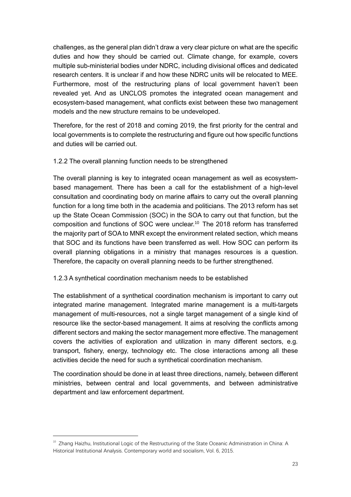challenges, as the general plan didn't draw a very clear picture on what are the specific duties and how they should be carried out. Climate change, for example, covers multiple sub-ministerial bodies under NDRC, including divisional offices and dedicated research centers. It is unclear if and how these NDRC units will be relocated to MEE. Furthermore, most of the restructuring plans of local government haven't been revealed yet. And as UNCLOS promotes the integrated ocean management and ecosystem-based management, what conflicts exist between these two management models and the new structure remains to be undeveloped.

Therefore, for the rest of 2018 and coming 2019, the first priority for the central and local governments is to complete the restructuring and figure out how specific functions and duties will be carried out.

#### 1.2.2 The overall planning function needs to be strengthened

The overall planning is key to integrated ocean management as well as ecosystembased management. There has been a call for the establishment of a high-level consultation and coordinating body on marine affairs to carry out the overall planning function for a long time both in the academia and politicians. The 2013 reform has set up the State Ocean Commission (SOC) in the SOA to carry out that function, but the composition and functions of SOC were unclear.<sup>10</sup> The 2018 reform has transferred the majority part of SOA to MNR except the environment related section, which means that SOC and its functions have been transferred as well. How SOC can perform its overall planning obligations in a ministry that manages resources is a question. Therefore, the capacity on overall planning needs to be further strengthened.

#### 1.2.3 A synthetical coordination mechanism needs to be established

The establishment of a synthetical coordination mechanism is important to carry out integrated marine management. Integrated marine management is a multi-targets management of multi-resources, not a single target management of a single kind of resource like the sector-based management. It aims at resolving the conflicts among different sectors and making the sector management more effective. The management covers the activities of exploration and utilization in many different sectors, e.g. transport, fishery, energy, technology etc. The close interactions among all these activities decide the need for such a synthetical coordination mechanism.

The coordination should be done in at least three directions, namely, between different ministries, between central and local governments, and between administrative department and law enforcement department.

<sup>&</sup>lt;sup>10</sup> Zhang Haizhu, Institutional Logic of the Restructuring of the State Oceanic Administration in China: A Historical Institutional Analysis. Contemporary world and socialism, Vol. 6, 2015.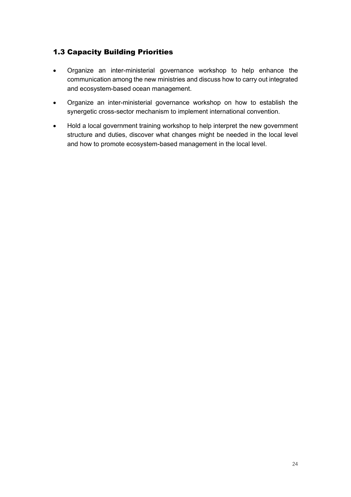### 1.3 Capacity Building Priorities

- Organize an inter-ministerial governance workshop to help enhance the communication among the new ministries and discuss how to carry out integrated and ecosystem-based ocean management.
- Organize an inter-ministerial governance workshop on how to establish the synergetic cross-sector mechanism to implement international convention.
- Hold a local government training workshop to help interpret the new government structure and duties, discover what changes might be needed in the local level and how to promote ecosystem-based management in the local level.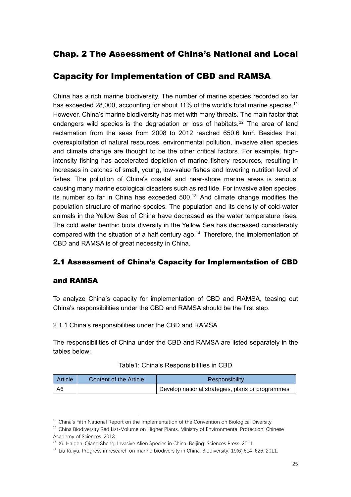### Chap. 2 The Assessment of China's National and Local

### Capacity for Implementation of CBD and RAMSA

China has a rich marine biodiversity. The number of marine species recorded so far has exceeded 28,000, accounting for about 11% of the world's total marine species.<sup>11</sup> However, China's marine biodiversity has met with many threats. The main factor that endangers wild species is the degradation or loss of habitats.<sup>12</sup> The area of land reclamation from the seas from 2008 to 2012 reached  $650.6$  km<sup>2</sup>. Besides that, overexploitation of natural resources, environmental pollution, invasive alien species and climate change are thought to be the other critical factors. For example, highintensity fishing has accelerated depletion of marine fishery resources, resulting in increases in catches of small, young, low-value fishes and lowering nutrition level of fishes. The pollution of China's coastal and near-shore marine areas is serious, causing many marine ecological disasters such as red tide. For invasive alien species, its number so far in China has exceeded 500. 13 And climate change modifies the population structure of marine species. The population and its density of cold-water animals in the Yellow Sea of China have decreased as the water temperature rises. The cold water benthic biota diversity in the Yellow Sea has decreased considerably compared with the situation of a half century ago. <sup>14</sup> Therefore, the implementation of CBD and RAMSA is of great necessity in China.

### 2.1 Assessment of China's Capacity for Implementation of CBD

### and RAMSA

To analyze China's capacity for implementation of CBD and RAMSA, teasing out China's responsibilities under the CBD and RAMSA should be the first step.

### 2.1.1 China's responsibilities under the CBD and RAMSA

The responsibilities of China under the CBD and RAMSA are listed separately in the tables below:

| Article | Content of the Article | Responsibility                                   |
|---------|------------------------|--------------------------------------------------|
| A6      |                        | Develop national strategies, plans or programmes |

 $11$  China's Fifth National Report on the Implementation of the Convention on Biological Diversity

 $12$  China Biodiversity Red List-Volume on Higher Plants. Ministry of Environmental Protection, Chinese Academy of Sciences. 2013.

<sup>&</sup>lt;sup>13</sup> Xu Haigen, Qiang Sheng. Invasive Alien Species in China. Beijing: Sciences Press. 2011.

<sup>&</sup>lt;sup>14</sup> Liu Ruiyu. Progress in research on marine biodiversity in China. Biodiversity, 19(6):614-626, 2011.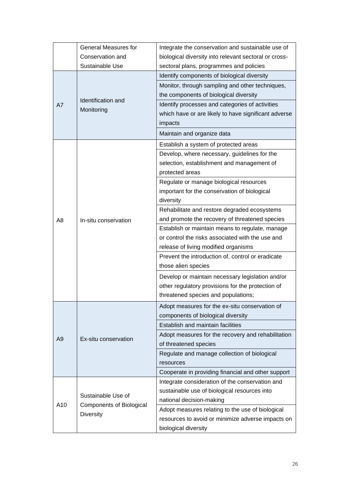|                | <b>General Measures for</b>      | Integrate the conservation and sustainable use of     |
|----------------|----------------------------------|-------------------------------------------------------|
|                | Conservation and                 | biological diversity into relevant sectoral or cross- |
|                | Sustainable Use                  | sectoral plans, programmes and policies               |
|                |                                  | Identify components of biological diversity           |
|                |                                  | Monitor, through sampling and other techniques,       |
|                |                                  | the components of biological diversity                |
| A7             | Identification and<br>Monitoring | Identify processes and categories of activities       |
|                |                                  | which have or are likely to have significant adverse  |
|                |                                  | impacts                                               |
|                |                                  | Maintain and organize data                            |
|                |                                  | Establish a system of protected areas                 |
|                |                                  | Develop, where necessary, guidelines for the          |
|                |                                  | selection, establishment and management of            |
|                |                                  | protected areas                                       |
|                |                                  | Regulate or manage biological resources               |
|                |                                  | important for the conservation of biological          |
|                |                                  | diversity                                             |
|                |                                  | Rehabilitate and restore degraded ecosystems          |
| A8             | In-situ conservation             | and promote the recovery of threatened species        |
|                |                                  | Establish or maintain means to regulate, manage       |
|                |                                  | or control the risks associated with the use and      |
|                |                                  | release of living modified organisms                  |
|                |                                  | Prevent the introduction of, control or eradicate     |
|                |                                  | those alien species                                   |
|                |                                  | Develop or maintain necessary legislation and/or      |
|                |                                  | other regulatory provisions for the protection of     |
|                |                                  | threatened species and populations;                   |
|                |                                  | Adopt measures for the ex-situ conservation of        |
|                |                                  | components of biological diversity                    |
|                |                                  | Establish and maintain facilities                     |
| A <sub>9</sub> | Ex-situ conservation             | Adopt measures for the recovery and rehabilitation    |
|                |                                  | of threatened species                                 |
|                |                                  | Regulate and manage collection of biological          |
|                |                                  | resources                                             |
|                |                                  | Cooperate in providing financial and other support    |
|                |                                  | Integrate consideration of the conservation and       |
|                | Sustainable Use of               | sustainable use of biological resources into          |
| A10            | <b>Components of Biological</b>  | national decision-making                              |
|                | <b>Diversity</b>                 | Adopt measures relating to the use of biological      |
|                |                                  | resources to avoid or minimize adverse impacts on     |
|                |                                  | biological diversity                                  |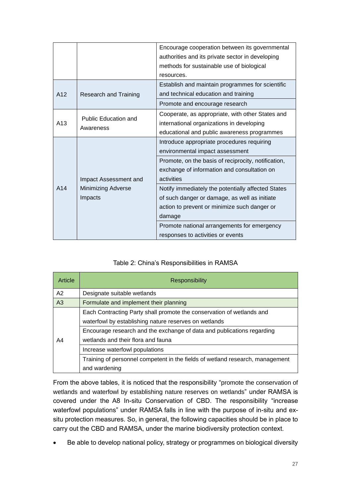|                 |                                          | Encourage cooperation between its governmental      |
|-----------------|------------------------------------------|-----------------------------------------------------|
|                 |                                          | authorities and its private sector in developing    |
|                 |                                          | methods for sustainable use of biological           |
|                 |                                          | resources.                                          |
|                 |                                          | Establish and maintain programmes for scientific    |
| A <sub>12</sub> | <b>Research and Training</b>             | and technical education and training                |
|                 |                                          | Promote and encourage research                      |
| A13             |                                          | Cooperate, as appropriate, with other States and    |
|                 | <b>Public Education and</b><br>Awareness | international organizations in developing           |
|                 |                                          | educational and public awareness programmes         |
|                 |                                          | Introduce appropriate procedures requiring          |
|                 |                                          | environmental impact assessment                     |
|                 |                                          | Promote, on the basis of reciprocity, notification, |
|                 |                                          | exchange of information and consultation on         |
|                 | Impact Assessment and                    | activities                                          |
| A <sub>14</sub> | <b>Minimizing Adverse</b>                | Notify immediately the potentially affected States  |
|                 | Impacts                                  | of such danger or damage, as well as initiate       |
|                 |                                          | action to prevent or minimize such danger or        |
|                 |                                          | damage                                              |
|                 |                                          | Promote national arrangements for emergency         |
|                 |                                          | responses to activities or events                   |

### Table 2: China's Responsibilities in RAMSA

| Article        | <b>Responsibility</b>                                                                                                          |  |  |
|----------------|--------------------------------------------------------------------------------------------------------------------------------|--|--|
| A2             | Designate suitable wetlands                                                                                                    |  |  |
| A <sub>3</sub> | Formulate and implement their planning                                                                                         |  |  |
|                | Each Contracting Party shall promote the conservation of wetlands and<br>waterfowl by establishing nature reserves on wetlands |  |  |
| A4             | Encourage research and the exchange of data and publications regarding<br>wetlands and their flora and fauna                   |  |  |
|                | Increase waterfowl populations                                                                                                 |  |  |
|                | Training of personnel competent in the fields of wetland research, management<br>and wardening                                 |  |  |

From the above tables, it is noticed that the responsibility "promote the conservation of wetlands and waterfowl by establishing nature reserves on wetlands" under RAMSA is covered under the A8 In-situ Conservation of CBD. The responsibility "increase waterfowl populations" under RAMSA falls in line with the purpose of in-situ and exsitu protection measures. So, in general, the following capacities should be in place to carry out the CBD and RAMSA, under the marine biodiversity protection context.

• Be able to develop national policy, strategy or programmes on biological diversity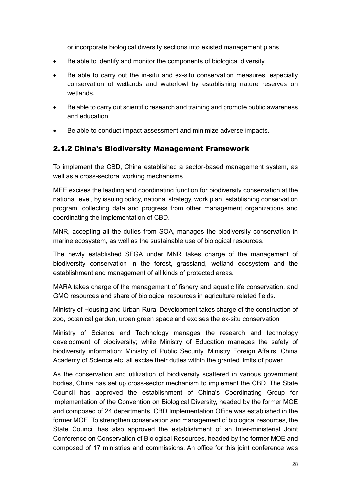or incorporate biological diversity sections into existed management plans.

- Be able to identify and monitor the components of biological diversity.
- Be able to carry out the in-situ and ex-situ conservation measures, especially conservation of wetlands and waterfowl by establishing nature reserves on wetlands.
- Be able to carry out scientific research and training and promote public awareness and education.
- Be able to conduct impact assessment and minimize adverse impacts.

#### 2.1.2 China's Biodiversity Management Framework

To implement the CBD, China established a sector-based management system, as well as a cross-sectoral working mechanisms.

MEE excises the leading and coordinating function for biodiversity conservation at the national level, by issuing policy, national strategy, work plan, establishing conservation program, collecting data and progress from other management organizations and coordinating the implementation of CBD.

MNR, accepting all the duties from SOA, manages the biodiversity conservation in marine ecosystem, as well as the sustainable use of biological resources.

The newly established SFGA under MNR takes charge of the management of biodiversity conservation in the forest, grassland, wetland ecosystem and the establishment and management of all kinds of protected areas.

MARA takes charge of the management of fishery and aquatic life conservation, and GMO resources and share of biological resources in agriculture related fields.

Ministry of Housing and Urban-Rural Development takes charge of the construction of zoo, botanical garden, urban green space and excises the ex-situ conservation

Ministry of Science and Technology manages the research and technology development of biodiversity; while Ministry of Education manages the safety of biodiversity information; Ministry of Public Security, Ministry Foreign Affairs, China Academy of Science etc. all excise their duties within the granted limits of power.

As the conservation and utilization of biodiversity scattered in various government bodies, China has set up cross-sector mechanism to implement the CBD. The State Council has approved the establishment of China's Coordinating Group for Implementation of the Convention on Biological Diversity, headed by the former MOE and composed of 24 departments. CBD Implementation Office was established in the former MOE. To strengthen conservation and management of biological resources, the State Council has also approved the establishment of an Inter-ministerial Joint Conference on Conservation of Biological Resources, headed by the former MOE and composed of 17 ministries and commissions. An office for this joint conference was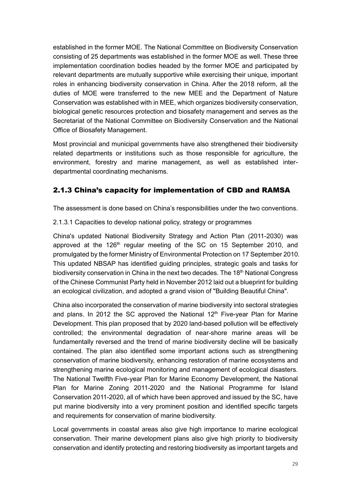established in the former MOE. The National Committee on Biodiversity Conservation consisting of 25 departments was established in the former MOE as well. These three implementation coordination bodies headed by the former MOE and participated by relevant departments are mutually supportive while exercising their unique, important roles in enhancing biodiversity conservation in China. After the 2018 reform, all the duties of MOE were transferred to the new MEE and the Department of Nature Conservation was established with in MEE, which organizes biodiversity conservation, biological genetic resources protection and biosafety management and serves as the Secretariat of the National Committee on Biodiversity Conservation and the National Office of Biosafety Management.

Most provincial and municipal governments have also strengthened their biodiversity related departments or institutions such as those responsible for agriculture, the environment, forestry and marine management, as well as established interdepartmental coordinating mechanisms.

### 2.1.3 China's capacity for implementation of CBD and RAMSA

The assessment is done based on China's responsibilities under the two conventions.

2.1.3.1 Capacities to develop national policy, strategy or programmes

China's updated National Biodiversity Strategy and Action Plan (2011-2030) was approved at the  $126<sup>th</sup>$  regular meeting of the SC on 15 September 2010, and promulgated by the former Ministry of Environmental Protection on 17 September 2010. This updated NBSAP has identified guiding principles, strategic goals and tasks for biodiversity conservation in China in the next two decades. The 18<sup>th</sup> National Congress of the Chinese Communist Party held in November 2012 laid out a blueprint for building an ecological civilization, and adopted a grand vision of "Building Beautiful China".

China also incorporated the conservation of marine biodiversity into sectoral strategies and plans. In 2012 the SC approved the National  $12<sup>th</sup>$  Five-year Plan for Marine Development. This plan proposed that by 2020 land-based pollution will be effectively controlled; the environmental degradation of near-shore marine areas will be fundamentally reversed and the trend of marine biodiversity decline will be basically contained. The plan also identified some important actions such as strengthening conservation of marine biodiversity, enhancing restoration of marine ecosystems and strengthening marine ecological monitoring and management of ecological disasters. The National Twelfth Five-year Plan for Marine Economy Development, the National Plan for Marine Zoning 2011-2020 and the National Programme for Island Conservation 2011-2020, all of which have been approved and issued by the SC, have put marine biodiversity into a very prominent position and identified specific targets and requirements for conservation of marine biodiversity.

Local governments in coastal areas also give high importance to marine ecological conservation. Their marine development plans also give high priority to biodiversity conservation and identify protecting and restoring biodiversity as important targets and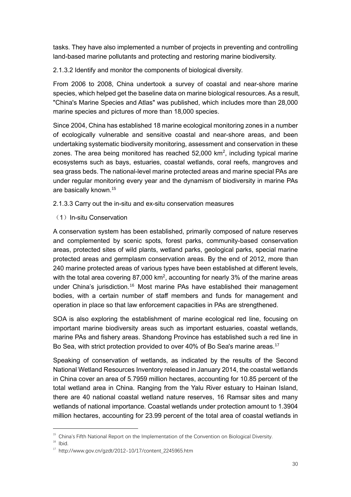tasks. They have also implemented a number of projects in preventing and controlling land-based marine pollutants and protecting and restoring marine biodiversity.

2.1.3.2 Identify and monitor the components of biological diversity.

From 2006 to 2008, China undertook a survey of coastal and near-shore marine species, which helped get the baseline data on marine biological resources. As a result, "China's Marine Species and Atlas" was published, which includes more than 28,000 marine species and pictures of more than 18,000 species.

Since 2004, China has established 18 marine ecological monitoring zones in a number of ecologically vulnerable and sensitive coastal and near-shore areas, and been undertaking systematic biodiversity monitoring, assessment and conservation in these zones. The area being monitored has reached 52,000 km<sup>2</sup>, including typical marine ecosystems such as bays, estuaries, coastal wetlands, coral reefs, mangroves and sea grass beds. The national-level marine protected areas and marine special PAs are under regular monitoring every year and the dynamism of biodiversity in marine PAs are basically known.<sup>15</sup>

2.1.3.3 Carry out the in-situ and ex-situ conservation measures

(1) In-situ Conservation

A conservation system has been established, primarily composed of nature reserves and complemented by scenic spots, forest parks, community-based conservation areas, protected sites of wild plants, wetland parks, geological parks, special marine protected areas and germplasm conservation areas. By the end of 2012, more than 240 marine protected areas of various types have been established at different levels, with the total area covering 87,000 km<sup>2</sup>, accounting for nearly 3% of the marine areas under China's jurisdiction.<sup>16</sup> Most marine PAs have established their management bodies, with a certain number of staff members and funds for management and operation in place so that law enforcement capacities in PAs are strengthened.

SOA is also exploring the establishment of marine ecological red line, focusing on important marine biodiversity areas such as important estuaries, coastal wetlands, marine PAs and fishery areas. Shandong Province has established such a red line in Bo Sea, with strict protection provided to over 40% of Bo Sea's marine areas.<sup>17</sup>

Speaking of conservation of wetlands, as indicated by the results of the Second National Wetland Resources Inventory released in January 2014, the coastal wetlands in China cover an area of 5.7959 million hectares, accounting for 10.85 percent of the total wetland area in China. Ranging from the Yalu River estuary to Hainan Island, there are 40 national coastal wetland nature reserves, 16 Ramsar sites and many wetlands of national importance. Coastal wetlands under protection amount to 1.3904 million hectares, accounting for 23.99 percent of the total area of coastal wetlands in

<sup>&</sup>lt;sup>15</sup> China's Fifth National Report on the Implementation of the Convention on Biological Diversity.

 $16$  Ibid.

 $17$  http://www.gov.cn/gzdt/2012-10/17/content\_2245965.htm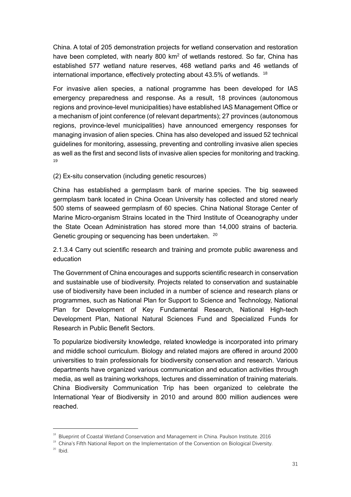China. A total of 205 demonstration projects for wetland conservation and restoration have been completed, with nearly 800 km<sup>2</sup> of wetlands restored. So far, China has established 577 wetland nature reserves, 468 wetland parks and 46 wetlands of international importance, effectively protecting about 43.5% of wetlands. <sup>18</sup>

For invasive alien species, a national programme has been developed for IAS emergency preparedness and response. As a result, 18 provinces (autonomous regions and province-level municipalities) have established IAS Management Office or a mechanism of joint conference (of relevant departments); 27 provinces (autonomous regions, province-level municipalities) have announced emergency responses for managing invasion of alien species. China has also developed and issued 52 technical guidelines for monitoring, assessing, preventing and controlling invasive alien species as well as the first and second lists of invasive alien species for monitoring and tracking. 19

(2) Ex-situ conservation (including genetic resources)

China has established a germplasm bank of marine species. The big seaweed germplasm bank located in China Ocean University has collected and stored nearly 500 stems of seaweed germplasm of 60 species. China National Storage Center of Marine Micro-organism Strains located in the Third Institute of Oceanography under the State Ocean Administration has stored more than 14,000 strains of bacteria. Genetic grouping or sequencing has been undertaken. <sup>20</sup>

2.1.3.4 Carry out scientific research and training and promote public awareness and education

The Government of China encourages and supports scientific research in conservation and sustainable use of biodiversity. Projects related to conservation and sustainable use of biodiversity have been included in a number of science and research plans or programmes, such as National Plan for Support to Science and Technology, National Plan for Development of Key Fundamental Research, National High-tech Development Plan, National Natural Sciences Fund and Specialized Funds for Research in Public Benefit Sectors.

To popularize biodiversity knowledge, related knowledge is incorporated into primary and middle school curriculum. Biology and related majors are offered in around 2000 universities to train professionals for biodiversity conservation and research. Various departments have organized various communication and education activities through media, as well as training workshops, lectures and dissemination of training materials. China Biodiversity Communication Trip has been organized to celebrate the International Year of Biodiversity in 2010 and around 800 million audiences were reached.

 $18$  Blueprint of Coastal Wetland Conservation and Management in China. Paulson Institute. 2016

<sup>&</sup>lt;sup>19</sup> China's Fifth National Report on the Implementation of the Convention on Biological Diversity.

 $20$  Ibid.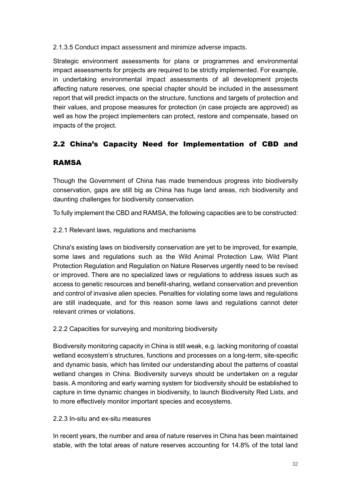2.1.3.5 Conduct impact assessment and minimize adverse impacts.

Strategic environment assessments for plans or programmes and environmental impact assessments for projects are required to be strictly implemented. For example, in undertaking environmental impact assessments of all development projects affecting nature reserves, one special chapter should be included in the assessment report that will predict impacts on the structure, functions and targets of protection and their values, and propose measures for protection (in case projects are approved) as well as how the project implementers can protect, restore and compensate, based on impacts of the project.

# 2.2 China's Capacity Need for Implementation of CBD and

### RAMSA

Though the Government of China has made tremendous progress into biodiversity conservation, gaps are still big as China has huge land areas, rich biodiversity and daunting challenges for biodiversity conservation.

To fully implement the CBD and RAMSA, the following capacities are to be constructed:

### 2.2.1 Relevant laws, regulations and mechanisms

China's existing laws on biodiversity conservation are yet to be improved, for example, some laws and regulations such as the Wild Animal Protection Law, Wild Plant Protection Regulation and Regulation on Nature Reserves urgently need to be revised or improved. There are no specialized laws or regulations to address issues such as access to genetic resources and benefit-sharing, wetland conservation and prevention and control of invasive alien species. Penalties for violating some laws and regulations are still inadequate, and for this reason some laws and regulations cannot deter relevant crimes or violations.

### 2.2.2 Capacities for surveying and monitoring biodiversity

Biodiversity monitoring capacity in China is still weak, e.g. lacking monitoring of coastal wetland ecosystem's structures, functions and processes on a long-term, site-specific and dynamic basis, which has limited our understanding about the patterns of coastal wetland changes in China. Biodiversity surveys should be undertaken on a regular basis. A monitoring and early warning system for biodiversity should be established to capture in time dynamic changes in biodiversity, to launch Biodiversity Red Lists, and to more effectively monitor important species and ecosystems.

#### 2.2.3 In-situ and ex-situ measures

In recent years, the number and area of nature reserves in China has been maintained stable, with the total areas of nature reserves accounting for 14.8% of the total land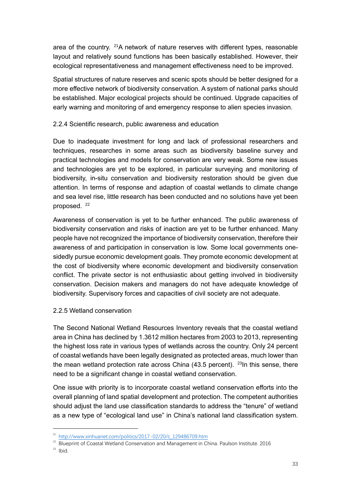area of the country. <sup>21</sup>A network of nature reserves with different types, reasonable layout and relatively sound functions has been basically established. However, their ecological representativeness and management effectiveness need to be improved.

Spatial structures of nature reserves and scenic spots should be better designed for a more effective network of biodiversity conservation. A system of national parks should be established. Major ecological projects should be continued. Upgrade capacities of early warning and monitoring of and emergency response to alien species invasion.

#### 2.2.4 Scientific research, public awareness and education

Due to inadequate investment for long and lack of professional researchers and techniques, researches in some areas such as biodiversity baseline survey and practical technologies and models for conservation are very weak. Some new issues and technologies are yet to be explored, in particular surveying and monitoring of biodiversity, in-situ conservation and biodiversity restoration should be given due attention. In terms of response and adaption of coastal wetlands to climate change and sea level rise, little research has been conducted and no solutions have yet been proposed.<sup>22</sup>

Awareness of conservation is yet to be further enhanced. The public awareness of biodiversity conservation and risks of inaction are yet to be further enhanced. Many people have not recognized the importance of biodiversity conservation, therefore their awareness of and participation in conservation is low. Some local governments onesidedly pursue economic development goals. They promote economic development at the cost of biodiversity where economic development and biodiversity conservation conflict. The private sector is not enthusiastic about getting involved in biodiversity conservation. Decision makers and managers do not have adequate knowledge of biodiversity. Supervisory forces and capacities of civil society are not adequate.

#### 2.2.5 Wetland conservation

The Second National Wetland Resources Inventory reveals that the coastal wetland area in China has declined by 1.3612 million hectares from 2003 to 2013, representing the highest loss rate in various types of wetlands across the country. Only 24 percent of coastal wetlands have been legally designated as protected areas, much lower than the mean wetland protection rate across China  $(43.5$  percent). <sup>23</sup>In this sense, there need to be a significant change in coastal wetland conservation.

One issue with priority is to incorporate coastal wetland conservation efforts into the overall planning of land spatial development and protection. The competent authorities should adjust the land use classification standards to address the "tenure" of wetland as a new type of "ecological land use" in China's national land classification system.

<sup>&</sup>lt;sup>21</sup> [http://www.xinhuanet.com/politics/2017-02/20/c\\_129486709.htm](http://www.xinhuanet.com/politics/2017-02/20/c_129486709.htm)

<sup>&</sup>lt;sup>22</sup> Blueprint of Coastal Wetland Conservation and Management in China. Paulson Institute. 2016

 $23$  Ibid.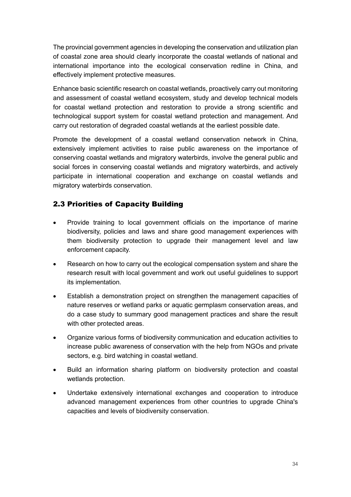The provincial government agencies in developing the conservation and utilization plan of coastal zone area should clearly incorporate the coastal wetlands of national and international importance into the ecological conservation redline in China, and effectively implement protective measures.

Enhance basic scientific research on coastal wetlands, proactively carry out monitoring and assessment of coastal wetland ecosystem, study and develop technical models for coastal wetland protection and restoration to provide a strong scientific and technological support system for coastal wetland protection and management. And carry out restoration of degraded coastal wetlands at the earliest possible date.

Promote the development of a coastal wetland conservation network in China, extensively implement activities to raise public awareness on the importance of conserving coastal wetlands and migratory waterbirds, involve the general public and social forces in conserving coastal wetlands and migratory waterbirds, and actively participate in international cooperation and exchange on coastal wetlands and migratory waterbirds conservation.

### 2.3 Priorities of Capacity Building

- Provide training to local government officials on the importance of marine biodiversity, policies and laws and share good management experiences with them biodiversity protection to upgrade their management level and law enforcement capacity.
- Research on how to carry out the ecological compensation system and share the research result with local government and work out useful guidelines to support its implementation.
- Establish a demonstration project on strengthen the management capacities of nature reserves or wetland parks or aquatic germplasm conservation areas, and do a case study to summary good management practices and share the result with other protected areas.
- Organize various forms of biodiversity communication and education activities to increase public awareness of conservation with the help from NGOs and private sectors, e.g. bird watching in coastal wetland.
- Build an information sharing platform on biodiversity protection and coastal wetlands protection.
- Undertake extensively international exchanges and cooperation to introduce advanced management experiences from other countries to upgrade China's capacities and levels of biodiversity conservation.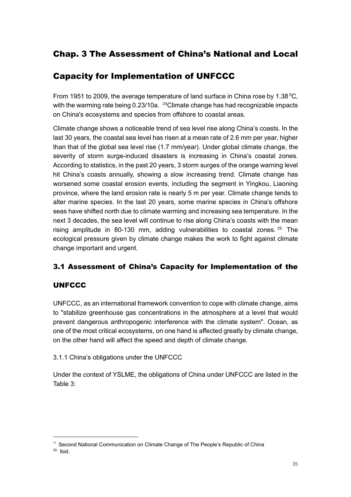### Chap. 3 The Assessment of China's National and Local

### Capacity for Implementation of UNFCCC

From 1951 to 2009, the average temperature of land surface in China rose by 1.38 °C. with the warming rate being  $0.23/10a$ . <sup>24</sup>Climate change has had recognizable impacts on China's ecosystems and species from offshore to coastal areas.

Climate change shows a noticeable trend of sea level rise along China's coasts. In the last 30 years, the coastal sea level has risen at a mean rate of 2.6 mm per year, higher than that of the global sea level rise (1.7 mm/year). Under global climate change, the severity of storm surge-induced disasters is increasing in China's coastal zones. According to statistics, in the past 20 years, 3 storm surges of the orange warning level hit China's coasts annually, showing a slow increasing trend. Climate change has worsened some coastal erosion events, including the segment in Yingkou, Liaoning province, where the land erosion rate is nearly 5 m per year. Climate change tends to alter marine species. In the last 20 years, some marine species in China's offshore seas have shifted north due to climate warming and increasing sea temperature. In the next 3 decades, the sea level will continue to rise along China's coasts with the mean rising amplitude in 80-130 mm, adding vulnerabilities to coastal zones. <sup>25</sup> The ecological pressure given by climate change makes the work to fight against climate change important and urgent.

### 3.1 Assessment of China's Capacity for Implementation of the

### **UNFCCC**

UNFCCC, as an international framework convention to cope with climate change, aims to "stabilize greenhouse gas concentrations in the atmosphere at a level that would prevent dangerous anthropogenic interference with the climate system". Ocean, as one of the most critical ecosystems, on one hand is affected greatly by climate change, on the other hand will affect the speed and depth of climate change.

3.1.1 China's obligations under the UNFCCC

Under the context of YSLME, the obligations of China under UNFCCC are listed in the Table 3:

<sup>&</sup>lt;sup>24</sup> Second National Communication on Climate Change of The People's Republic of China

 $25$  Ibid.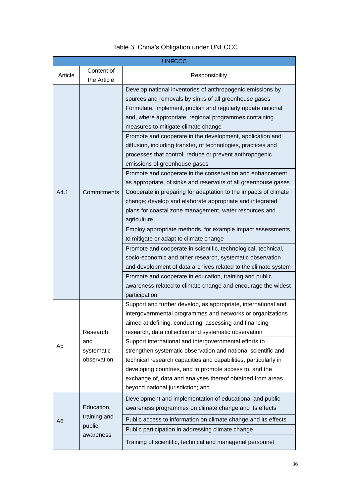|           |                           | <b>UNFCCC</b>                                                                                                                                                                                                                                                                                                                                            |  |  |
|-----------|---------------------------|----------------------------------------------------------------------------------------------------------------------------------------------------------------------------------------------------------------------------------------------------------------------------------------------------------------------------------------------------------|--|--|
| Article   | Content of<br>the Article | Responsibility                                                                                                                                                                                                                                                                                                                                           |  |  |
|           |                           | Develop national inventories of anthropogenic emissions by<br>sources and removals by sinks of all greenhouse gases<br>Formulate, implement, publish and regularly update national<br>and, where appropriate, regional programmes containing<br>measures to mitigate climate change                                                                      |  |  |
|           |                           | Promote and cooperate in the development, application and<br>diffusion, including transfer, of technologies, practices and<br>processes that control, reduce or prevent anthropogenic<br>emissions of greenhouse gases                                                                                                                                   |  |  |
|           |                           | Promote and cooperate in the conservation and enhancement,<br>as appropriate, of sinks and reservoirs of all greenhouse gases                                                                                                                                                                                                                            |  |  |
| A4.1      | Commitments               | Cooperate in preparing for adaptation to the impacts of climate<br>change; develop and elaborate appropriate and integrated<br>plans for coastal zone management, water resources and<br>agriculture                                                                                                                                                     |  |  |
|           |                           | Employ appropriate methods, for example impact assessments,<br>to mitigate or adapt to climate change                                                                                                                                                                                                                                                    |  |  |
|           |                           | Promote and cooperate in scientific, technological, technical,<br>socio-economic and other research, systematic observation<br>and development of data archives related to the climate system                                                                                                                                                            |  |  |
|           |                           | Promote and cooperate in education, training and public<br>awareness related to climate change and encourage the widest<br>participation                                                                                                                                                                                                                 |  |  |
|           | Research                  | Support and further develop, as appropriate, international and<br>intergovernmental programmes and networks or organizations<br>aimed at defining, conducting, assessing and financing<br>research, data collection and systematic observation                                                                                                           |  |  |
| and<br>A5 | systematic<br>observation | Support international and intergovernmental efforts to<br>strengthen systematic observation and national scientific and<br>technical research capacities and capabilities, particularly in<br>developing countries, and to promote access to, and the<br>exchange of, data and analyses thereof obtained from areas<br>beyond national jurisdiction; and |  |  |
|           | Education,                | Development and implementation of educational and public<br>awareness programmes on climate change and its effects                                                                                                                                                                                                                                       |  |  |
| A6        | training and<br>public    | Public access to information on climate change and its effects                                                                                                                                                                                                                                                                                           |  |  |
|           | awareness                 | Public participation in addressing climate change                                                                                                                                                                                                                                                                                                        |  |  |
|           |                           | Training of scientific, technical and managerial personnel                                                                                                                                                                                                                                                                                               |  |  |

### Table 3. China's Obligation under UNFCCC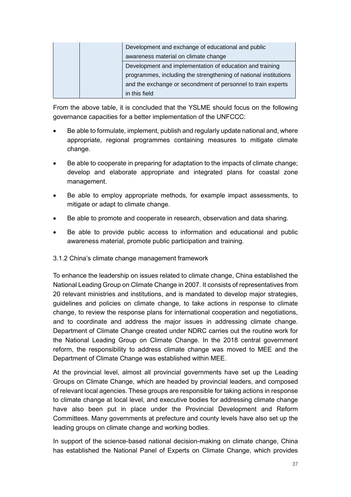| Development and exchange of educational and public |                                                                  |
|----------------------------------------------------|------------------------------------------------------------------|
|                                                    | awareness material on climate change                             |
|                                                    | Development and implementation of education and training         |
|                                                    | programmes, including the strengthening of national institutions |
|                                                    | and the exchange or secondment of personnel to train experts     |
|                                                    | in this field                                                    |

From the above table, it is concluded that the YSLME should focus on the following governance capacities for a better implementation of the UNFCCC:

- Be able to formulate, implement, publish and regularly update national and, where appropriate, regional programmes containing measures to mitigate climate change.
- Be able to cooperate in preparing for adaptation to the impacts of climate change; develop and elaborate appropriate and integrated plans for coastal zone management.
- Be able to employ appropriate methods, for example impact assessments, to mitigate or adapt to climate change.
- Be able to promote and cooperate in research, observation and data sharing.
- Be able to provide public access to information and educational and public awareness material, promote public participation and training.

### 3.1.2 China's climate change management framework

To enhance the leadership on issues related to climate change, China established the National Leading Group on Climate Change in 2007. It consists of representatives from 20 relevant ministries and institutions, and is mandated to develop major strategies, guidelines and policies on climate change, to take actions in response to climate change, to review the response plans for international cooperation and negotiations, and to coordinate and address the major issues in addressing climate change. Department of Climate Change created under NDRC carries out the routine work for the National Leading Group on Climate Change. In the 2018 central government reform, the responsibility to address climate change was moved to MEE and the Department of Climate Change was established within MEE.

At the provincial level, almost all provincial governments have set up the Leading Groups on Climate Change, which are headed by provincial leaders, and composed of relevant local agencies. These groups are responsible for taking actions in response to climate change at local level, and executive bodies for addressing climate change have also been put in place under the Provincial Development and Reform Committees. Many governments at prefecture and county levels have also set up the leading groups on climate change and working bodies.

In support of the science-based national decision-making on climate change, China has established the National Panel of Experts on Climate Change, which provides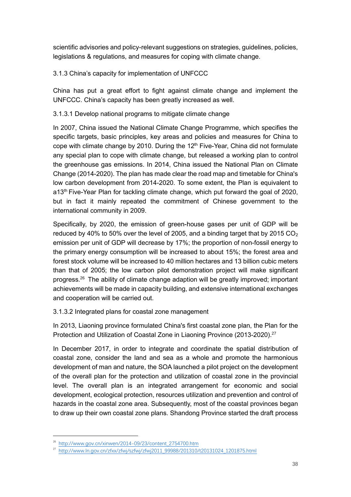scientific advisories and policy-relevant suggestions on strategies, guidelines, policies, legislations & regulations, and measures for coping with climate change.

3.1.3 China's capacity for implementation of UNFCCC

China has put a great effort to fight against climate change and implement the UNFCCC. China's capacity has been greatly increased as well.

3.1.3.1 Develop national programs to mitigate climate change

In 2007, China issued the National Climate Change Programme, which specifies the specific targets, basic principles, key areas and policies and measures for China to cope with climate change by 2010. During the 12<sup>th</sup> Five-Year, China did not formulate any special plan to cope with climate change, but released a working plan to control the greenhouse gas emissions. In 2014, China issued the National Plan on Climate Change (2014-2020). The plan has made clear the road map and timetable for China's low carbon development from 2014-2020. To some extent, the Plan is equivalent to a13th Five-Year Plan for tackling climate change, which put forward the goal of 2020, but in fact it mainly repeated the commitment of Chinese government to the international community in 2009.

Specifically, by 2020, the emission of green-house gases per unit of GDP will be reduced by 40% to 50% over the level of 2005, and a binding target that by 2015  $CO<sub>2</sub>$ emission per unit of GDP will decrease by 17%; the proportion of non-fossil energy to the primary energy consumption will be increased to about 15%; the forest area and forest stock volume will be increased to 40 million hectares and 13 billion cubic meters than that of 2005; the low carbon pilot demonstration project will make significant progress. <sup>26</sup> The ability of climate change adaption will be greatly improved; important achievements will be made in capacity building, and extensive international exchanges and cooperation will be carried out.

3.1.3.2 Integrated plans for coastal zone management

In 2013, Liaoning province formulated China's first coastal zone plan, the Plan for the Protection and Utilization of Coastal Zone in Liaoning Province (2013-2020).<sup>27</sup>

In December 2017, in order to integrate and coordinate the spatial distribution of coastal zone, consider the land and sea as a whole and promote the harmonious development of man and nature, the SOA launched a pilot project on the development of the overall plan for the protection and utilization of coastal zone in the provincial level. The overall plan is an integrated arrangement for economic and social development, ecological protection, resources utilization and prevention and control of hazards in the coastal zone area. Subsequently, most of the coastal provinces began to draw up their own coastal zone plans. Shandong Province started the draft process

<sup>26</sup> [http://www.gov.cn/xinwen/2014-09/23/content\\_2754700.htm](http://www.gov.cn/xinwen/2014-09/23/content_2754700.htm)

<sup>27</sup> [http://www.ln.gov.cn/zfxx/zfwj/szfwj/zfwj2011\\_99988/201310/t20131024\\_1201875.html](http://www.ln.gov.cn/zfxx/zfwj/szfwj/zfwj2011_99988/201310/t20131024_1201875.html)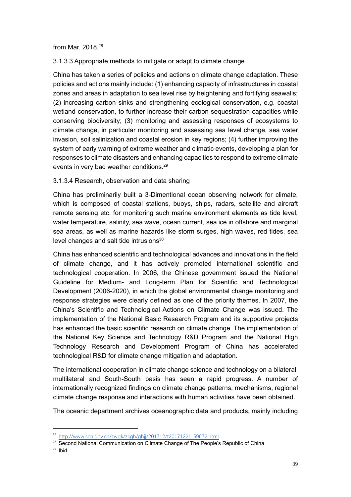from Mar. 2018.<sup>28</sup>

3.1.3.3 Appropriate methods to mitigate or adapt to climate change

China has taken a series of policies and actions on climate change adaptation. These policies and actions mainly include: (1) enhancing capacity of infrastructures in coastal zones and areas in adaptation to sea level rise by heightening and fortifying seawalls; (2) increasing carbon sinks and strengthening ecological conservation, e.g. coastal wetland conservation, to further increase their carbon sequestration capacities while conserving biodiversity; (3) monitoring and assessing responses of ecosystems to climate change, in particular monitoring and assessing sea level change, sea water invasion, soil salinization and coastal erosion in key regions; (4) further improving the system of early warning of extreme weather and climatic events, developing a plan for responses to climate disasters and enhancing capacities to respond to extreme climate events in very bad weather conditions.<sup>29</sup>

#### 3.1.3.4 Research, observation and data sharing

China has preliminarily built a 3-Dimentional ocean observing network for climate, which is composed of coastal stations, buoys, ships, radars, satellite and aircraft remote sensing etc. for monitoring such marine environment elements as tide level, water temperature, salinity, sea wave, ocean current, sea ice in offshore and marginal sea areas, as well as marine hazards like storm surges, high waves, red tides, sea level changes and salt tide intrusions $30$ 

China has enhanced scientific and technological advances and innovations in the field of climate change, and it has actively promoted international scientific and technological cooperation. In 2006, the Chinese government issued the National Guideline for Medium- and Long-term Plan for Scientific and Technological Development (2006-2020), in which the global environmental change monitoring and response strategies were clearly defined as one of the priority themes. In 2007, the China's Scientific and Technological Actions on Climate Change was issued. The implementation of the National Basic Research Program and its supportive projects has enhanced the basic scientific research on climate change. The implementation of the National Key Science and Technology R&D Program and the National High Technology Research and Development Program of China has accelerated technological R&D for climate change mitigation and adaptation.

The international cooperation in climate change science and technology on a bilateral, multilateral and South-South basis has seen a rapid progress. A number of internationally recognized findings on climate change patterns, mechanisms, regional climate change response and interactions with human activities have been obtained.

The oceanic department archives oceanographic data and products, mainly including

<sup>28</sup> [http://www.soa.gov.cn/zwgk/zcgh/ghjj/201712/t20171221\\_59672.html](http://www.soa.gov.cn/zwgk/zcgh/ghjj/201712/t20171221_59672.html)

<sup>&</sup>lt;sup>29</sup> Second National Communication on Climate Change of The People's Republic of China

 $30$  Ibid.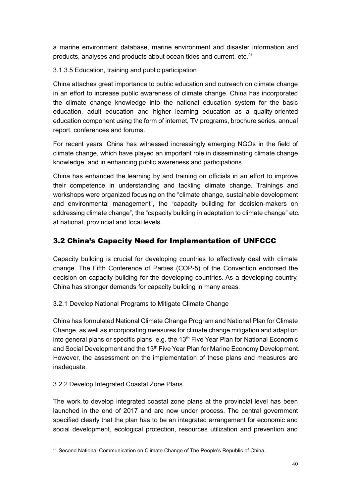a marine environment database, marine environment and disaster information and products, analyses and products about ocean tides and current, etc.<sup>31</sup>

3.1.3.5 Education, training and public participation

China attaches great importance to public education and outreach on climate change in an effort to increase public awareness of climate change. China has incorporated the climate change knowledge into the national education system for the basic education, adult education and higher learning education as a quality-oriented education component using the form of internet, TV programs, brochure series, annual report, conferences and forums.

For recent years, China has witnessed increasingly emerging NGOs in the field of climate change, which have played an important role in disseminating climate change knowledge, and in enhancing public awareness and participations.

China has enhanced the learning by and training on officials in an effort to improve their competence in understanding and tackling climate change. Trainings and workshops were organized focusing on the "climate change, sustainable development and environmental management", the "capacity building for decision-makers on addressing climate change", the "capacity building in adaptation to climate change" etc. at national, provincial and local levels.

### 3.2 China's Capacity Need for Implementation of UNFCCC

Capacity building is crucial for developing countries to effectively deal with climate change. The Fifth Conference of Parties (COP-5) of the Convention endorsed the decision on capacity building for the developing countries. As a developing country, China has stronger demands for capacity building in many areas.

3.2.1 Develop National Programs to Mitigate Climate Change

China has formulated National Climate Change Program and National Plan for Climate Change, as well as incorporating measures for climate change mitigation and adaption into general plans or specific plans, e.g. the  $13<sup>th</sup>$  Five Year Plan for National Economic and Social Development and the 13<sup>th</sup> Five Year Plan for Marine Economy Development. However, the assessment on the implementation of these plans and measures are inadequate.

### 3.2.2 Develop Integrated Coastal Zone Plans

The work to develop integrated coastal zone plans at the provincial level has been launched in the end of 2017 and are now under process. The central government specified clearly that the plan has to be an integrated arrangement for economic and social development, ecological protection, resources utilization and prevention and

<sup>&</sup>lt;sup>31</sup> Second National Communication on Climate Change of The People's Republic of China.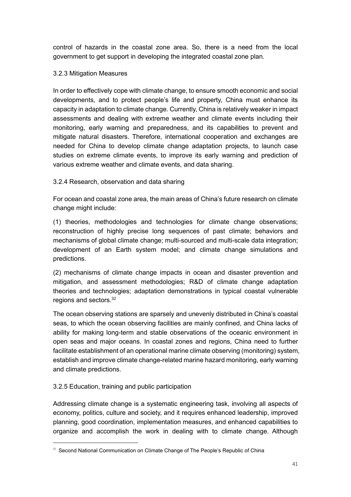control of hazards in the coastal zone area. So, there is a need from the local government to get support in developing the integrated coastal zone plan.

#### 3.2.3 Mitigation Measures

In order to effectively cope with climate change, to ensure smooth economic and social developments, and to protect people's life and property, China must enhance its capacity in adaptation to climate change. Currently, China is relatively weaker in impact assessments and dealing with extreme weather and climate events including their monitoring, early warning and preparedness, and its capabilities to prevent and mitigate natural disasters. Therefore, international cooperation and exchanges are needed for China to develop climate change adaptation projects, to launch case studies on extreme climate events, to improve its early warning and prediction of various extreme weather and climate events, and data sharing.

#### 3.2.4 Research, observation and data sharing

For ocean and coastal zone area, the main areas of China's future research on climate change might include:

(1) theories, methodologies and technologies for climate change observations; reconstruction of highly precise long sequences of past climate; behaviors and mechanisms of global climate change; multi-sourced and multi-scale data integration; development of an Earth system model; and climate change simulations and predictions.

(2) mechanisms of climate change impacts in ocean and disaster prevention and mitigation, and assessment methodologies; R&D of climate change adaptation theories and technologies; adaptation demonstrations in typical coastal vulnerable regions and sectors.<sup>32</sup>

The ocean observing stations are sparsely and unevenly distributed in China's coastal seas, to which the ocean observing facilities are mainly confined, and China lacks of ability for making long-term and stable observations of the oceanic environment in open seas and major oceans. In coastal zones and regions, China need to further facilitate establishment of an operational marine climate observing (monitoring) system, establish and improve climate change-related marine hazard monitoring, early warning and climate predictions.

### 3.2.5 Education, training and public participation

Addressing climate change is a systematic engineering task, involving all aspects of economy, politics, culture and society, and it requires enhanced leadership, improved planning, good coordination, implementation measures, and enhanced capabilities to organize and accomplish the work in dealing with to climate change. Although

<sup>&</sup>lt;sup>32</sup> Second National Communication on Climate Change of The People's Republic of China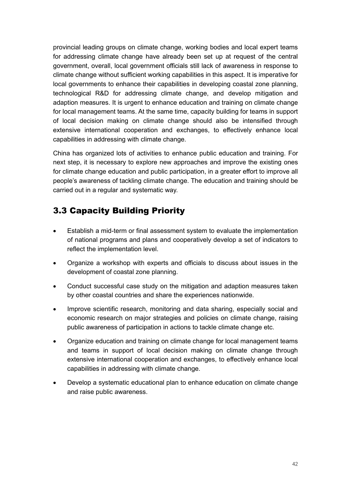provincial leading groups on climate change, working bodies and local expert teams for addressing climate change have already been set up at request of the central government, overall, local government officials still lack of awareness in response to climate change without sufficient working capabilities in this aspect. It is imperative for local governments to enhance their capabilities in developing coastal zone planning, technological R&D for addressing climate change, and develop mitigation and adaption measures. It is urgent to enhance education and training on climate change for local management teams. At the same time, capacity building for teams in support of local decision making on climate change should also be intensified through extensive international cooperation and exchanges, to effectively enhance local capabilities in addressing with climate change.

China has organized lots of activities to enhance public education and training. For next step, it is necessary to explore new approaches and improve the existing ones for climate change education and public participation, in a greater effort to improve all people's awareness of tackling climate change. The education and training should be carried out in a regular and systematic way.

### 3.3 Capacity Building Priority

- Establish a mid-term or final assessment system to evaluate the implementation of national programs and plans and cooperatively develop a set of indicators to reflect the implementation level.
- Organize a workshop with experts and officials to discuss about issues in the development of coastal zone planning.
- Conduct successful case study on the mitigation and adaption measures taken by other coastal countries and share the experiences nationwide.
- Improve scientific research, monitoring and data sharing, especially social and economic research on major strategies and policies on climate change, raising public awareness of participation in actions to tackle climate change etc.
- Organize education and training on climate change for local management teams and teams in support of local decision making on climate change through extensive international cooperation and exchanges, to effectively enhance local capabilities in addressing with climate change.
- Develop a systematic educational plan to enhance education on climate change and raise public awareness.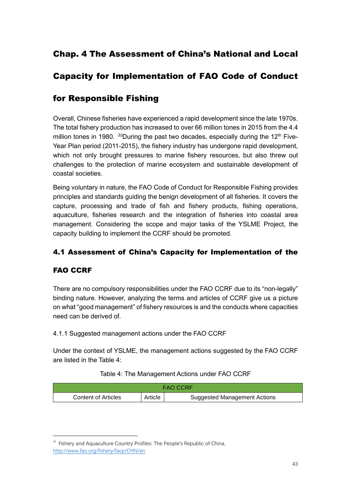### Chap. 4 The Assessment of China's National and Local

### Capacity for Implementation of FAO Code of Conduct

### for Responsible Fishing

Overall, Chinese fisheries have experienced a rapid development since the late 1970s. The total fishery production has increased to over 66 million tones in 2015 from the 4.4 million tones in 1980.  $33$ During the past two decades, especially during the 12<sup>th</sup> Five-Year Plan period (2011-2015), the fishery industry has undergone rapid development, which not only brought pressures to marine fishery resources, but also threw out challenges to the protection of marine ecosystem and sustainable development of coastal societies.

Being voluntary in nature, the FAO Code of Conduct for Responsible Fishing provides principles and standards guiding the benign development of all fisheries. It covers the capture, processing and trade of fish and fishery products, fishing operations, aquaculture, fisheries research and the integration of fisheries into coastal area management. Considering the scope and major tasks of the YSLME Project, the capacity building to implement the CCRF should be promoted.

### 4.1 Assessment of China's Capacity for Implementation of the

### FAO CCRF

There are no compulsory responsibilities under the FAO CCRF due to its "non-legally" binding nature. However, analyzing the terms and articles of CCRF give us a picture on what "good management" of fishery resources is and the conducts where capacities need can be derived of.

4.1.1 Suggested management actions under the FAO CCRF

Under the context of YSLME, the management actions suggested by the FAO CCRF are listed in the Table 4:

#### Table 4: The Management Actions under FAO CCRF

| <b>FAO CCRE</b>     |         |                              |
|---------------------|---------|------------------------------|
| Content of Articles | Article | Suggested Management Actions |

<sup>&</sup>lt;sup>33</sup> Fishery and Aquaculture Country Profiles: The People's Republic of China, <http://www.fao.org/fishery/facp/CHN/en>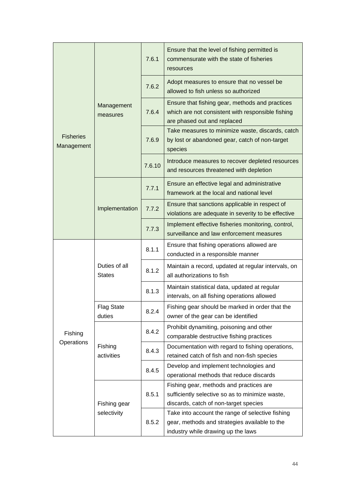|                                |                                | 7.6.1  | Ensure that the level of fishing permitted is<br>commensurate with the state of fisheries<br>resources                              |
|--------------------------------|--------------------------------|--------|-------------------------------------------------------------------------------------------------------------------------------------|
|                                |                                | 7.6.2  | Adopt measures to ensure that no vessel be<br>allowed to fish unless so authorized                                                  |
|                                | Management<br>measures         | 7.6.4  | Ensure that fishing gear, methods and practices<br>which are not consistent with responsible fishing<br>are phased out and replaced |
| <b>Fisheries</b><br>Management |                                | 7.6.9  | Take measures to minimize waste, discards, catch<br>by lost or abandoned gear, catch of non-target<br>species                       |
|                                |                                | 7.6.10 | Introduce measures to recover depleted resources<br>and resources threatened with depletion                                         |
|                                |                                | 7.7.1  | Ensure an effective legal and administrative<br>framework at the local and national level                                           |
|                                | Implementation                 | 7.7.2  | Ensure that sanctions applicable in respect of<br>violations are adequate in severity to be effective                               |
|                                |                                | 7.7.3  | Implement effective fisheries monitoring, control,<br>surveillance and law enforcement measures                                     |
|                                | Duties of all<br><b>States</b> | 8.1.1  | Ensure that fishing operations allowed are<br>conducted in a responsible manner                                                     |
|                                |                                | 8.1.2  | Maintain a record, updated at regular intervals, on<br>all authorizations to fish                                                   |
|                                |                                | 8.1.3  | Maintain statistical data, updated at regular<br>intervals, on all fishing operations allowed                                       |
|                                | <b>Flag State</b><br>duties    | 8.2.4  | Fishing gear should be marked in order that the<br>owner of the gear can be identified                                              |
| Fishing                        |                                | 8.4.2  | Prohibit dynamiting, poisoning and other<br>comparable destructive fishing practices                                                |
| Operations                     | Fishing<br>activities          | 8.4.3  | Documentation with regard to fishing operations,<br>retained catch of fish and non-fish species                                     |
|                                |                                | 8.4.5  | Develop and implement technologies and<br>operational methods that reduce discards                                                  |
|                                |                                |        | Fishing gear, methods and practices are                                                                                             |
|                                | Fishing gear                   | 8.5.1  | sufficiently selective so as to minimize waste,<br>discards, catch of non-target species                                            |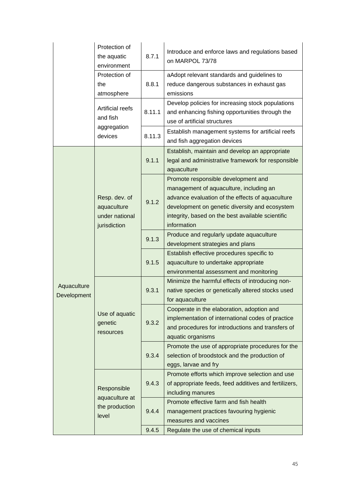|             | Protection of    |        | Introduce and enforce laws and regulations based      |
|-------------|------------------|--------|-------------------------------------------------------|
|             | the aquatic      | 8.7.1  | on MARPOL 73/78                                       |
|             | environment      |        |                                                       |
|             | Protection of    |        | aAdopt relevant standards and guidelines to           |
|             | the              | 8.8.1  | reduce dangerous substances in exhaust gas            |
|             | atmosphere       |        | emissions                                             |
|             | Artificial reefs |        | Develop policies for increasing stock populations     |
|             | and fish         | 8.11.1 | and enhancing fishing opportunities through the       |
|             | aggregation      |        | use of artificial structures                          |
|             | devices          | 8.11.3 | Establish management systems for artificial reefs     |
|             |                  |        | and fish aggregation devices                          |
|             |                  |        | Establish, maintain and develop an appropriate        |
|             |                  | 9.1.1  | legal and administrative framework for responsible    |
|             |                  |        | aquaculture                                           |
|             |                  |        | Promote responsible development and                   |
|             |                  |        | management of aquaculture, including an               |
|             | Resp. dev. of    | 9.1.2  | advance evaluation of the effects of aquaculture      |
|             | aquaculture      |        | development on genetic diversity and ecosystem        |
|             | under national   |        | integrity, based on the best available scientific     |
|             | jurisdiction     |        | information                                           |
|             |                  | 9.1.3  | Produce and regularly update aquaculture              |
|             |                  |        | development strategies and plans                      |
|             |                  | 9.1.5  | Establish effective procedures specific to            |
|             |                  |        | aquaculture to undertake appropriate                  |
|             |                  |        | environmental assessment and monitoring               |
| Aquaculture |                  | 9.3.1  | Minimize the harmful effects of introducing non-      |
| Development |                  |        | native species or genetically altered stocks used     |
|             |                  |        | for aquaculture                                       |
|             | Use of aquatic   |        | Cooperate in the elaboration, adoption and            |
|             | genetic          | 9.3.2  | implementation of international codes of practice     |
|             | resources        |        | and procedures for introductions and transfers of     |
|             |                  |        | aquatic organisms                                     |
|             |                  |        | Promote the use of appropriate procedures for the     |
|             |                  | 9.3.4  | selection of broodstock and the production of         |
|             |                  |        | eggs, larvae and fry                                  |
|             |                  |        | Promote efforts which improve selection and use       |
|             | Responsible      | 9.4.3  | of appropriate feeds, feed additives and fertilizers, |
|             | aquaculture at   |        | including manures                                     |
|             | the production   |        | Promote effective farm and fish health                |
|             | level            | 9.4.4  | management practices favouring hygienic               |
|             |                  |        | measures and vaccines                                 |
|             |                  | 9.4.5  | Regulate the use of chemical inputs                   |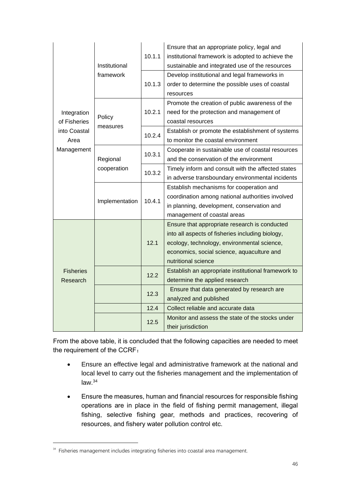|                              | Institutional            | 10.1.1 | Ensure that an appropriate policy, legal and<br>institutional framework is adopted to achieve the<br>sustainable and integrated use of the resources                                                                  |
|------------------------------|--------------------------|--------|-----------------------------------------------------------------------------------------------------------------------------------------------------------------------------------------------------------------------|
|                              | framework                | 10.1.3 | Develop institutional and legal frameworks in<br>order to determine the possible uses of coastal<br>resources                                                                                                         |
| Integration<br>of Fisheries  | Policy                   | 10.2.1 | Promote the creation of public awareness of the<br>need for the protection and management of<br>coastal resources                                                                                                     |
| into Coastal<br>Area         | measures                 | 10.2.4 | Establish or promote the establishment of systems<br>to monitor the coastal environment                                                                                                                               |
| Management                   | Regional                 | 10.3.1 | Cooperate in sustainable use of coastal resources<br>and the conservation of the environment                                                                                                                          |
|                              | cooperation              | 10.3.2 | Timely inform and consult with the affected states<br>in adverse transboundary environmental incidents                                                                                                                |
|                              | 10.4.1<br>Implementation |        | Establish mechanisms for cooperation and<br>coordination among national authorities involved<br>in planning, development, conservation and<br>management of coastal areas                                             |
|                              |                          | 12.1   | Ensure that appropriate research is conducted<br>into all aspects of fisheries including biology,<br>ecology, technology, environmental science,<br>economics, social science, aquaculture and<br>nutritional science |
| <b>Fisheries</b><br>Research |                          | 12.2   | Establish an appropriate institutional framework to<br>determine the applied research                                                                                                                                 |
|                              |                          | 12.3   | Ensure that data generated by research are<br>analyzed and published                                                                                                                                                  |
|                              |                          | 12.4   | Collect reliable and accurate data                                                                                                                                                                                    |
|                              |                          | 12.5   | Monitor and assess the state of the stocks under<br>their jurisdiction                                                                                                                                                |

From the above table, it is concluded that the following capacities are needed to meet the requirement of the CCRF:

- Ensure an effective legal and administrative framework at the national and local level to carry out the fisheries management and the implementation of  $law.<sup>34</sup>$
- Ensure the measures, human and financial resources for responsible fishing operations are in place in the field of fishing permit management, illegal fishing, selective fishing gear, methods and practices, recovering of resources, and fishery water pollution control etc.

<sup>&</sup>lt;sup>34</sup> Fisheries management includes integrating fisheries into coastal area management.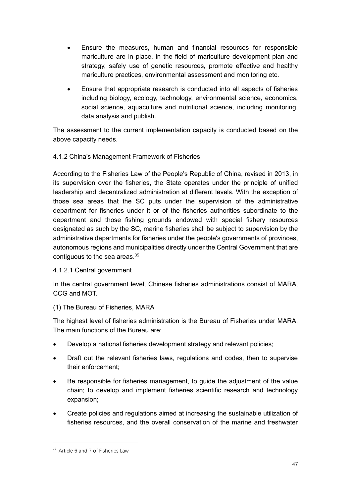- Ensure the measures, human and financial resources for responsible mariculture are in place, in the field of mariculture development plan and strategy, safely use of genetic resources, promote effective and healthy mariculture practices, environmental assessment and monitoring etc.
- Ensure that appropriate research is conducted into all aspects of fisheries including biology, ecology, technology, environmental science, economics, social science, aquaculture and nutritional science, including monitoring, data analysis and publish.

The assessment to the current implementation capacity is conducted based on the above capacity needs.

### 4.1.2 China's Management Framework of Fisheries

According to the Fisheries Law of the People's Republic of China, revised in 2013, in its supervision over the fisheries, the State operates under the principle of unified leadership and decentralized administration at different levels. With the exception of those sea areas that the SC puts under the supervision of the administrative department for fisheries under it or of the fisheries authorities subordinate to the department and those fishing grounds endowed with special fishery resources designated as such by the SC, marine fisheries shall be subject to supervision by the administrative departments for fisheries under the people's governments of provinces, autonomous regions and municipalities directly under the Central Government that are contiguous to the sea areas. 35

### 4.1.2.1 Central government

In the central government level, Chinese fisheries administrations consist of MARA, CCG and MOT.

### (1) The Bureau of Fisheries, MARA

The highest level of fisheries administration is the Bureau of Fisheries under MARA. The main functions of the Bureau are:

- Develop a national fisheries development strategy and relevant policies;
- Draft out the relevant fisheries laws, regulations and codes, then to supervise their enforcement;
- Be responsible for fisheries management, to guide the adjustment of the value chain; to develop and implement fisheries scientific research and technology expansion;
- Create policies and regulations aimed at increasing the sustainable utilization of fisheries resources, and the overall conservation of the marine and freshwater

 $35$  Article 6 and 7 of Fisheries Law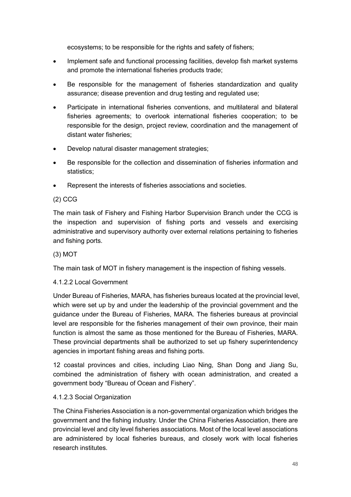ecosystems; to be responsible for the rights and safety of fishers;

- Implement safe and functional processing facilities, develop fish market systems and promote the international fisheries products trade;
- Be responsible for the management of fisheries standardization and quality assurance; disease prevention and drug testing and regulated use;
- Participate in international fisheries conventions, and multilateral and bilateral fisheries agreements; to overlook international fisheries cooperation; to be responsible for the design, project review, coordination and the management of distant water fisheries;
- Develop natural disaster management strategies;
- Be responsible for the collection and dissemination of fisheries information and statistics;
- Represent the interests of fisheries associations and societies.

#### (2) CCG

The main task of Fishery and Fishing Harbor Supervision Branch under the CCG is the inspection and supervision of fishing ports and vessels and exercising administrative and supervisory authority over external relations pertaining to fisheries and fishing ports.

#### (3) MOT

The main task of MOT in fishery management is the inspection of fishing vessels.

#### 4.1.2.2 Local Government

Under Bureau of Fisheries, MARA, has fisheries bureaus located at the provincial level, which were set up by and under the leadership of the provincial government and the guidance under the Bureau of Fisheries, MARA. The fisheries bureaus at provincial level are responsible for the fisheries management of their own province, their main function is almost the same as those mentioned for the Bureau of Fisheries, MARA. These provincial departments shall be authorized to set up fishery superintendency agencies in important fishing areas and fishing ports.

12 coastal provinces and cities, including Liao Ning, Shan Dong and Jiang Su, combined the administration of fishery with ocean administration, and created a government body "Bureau of Ocean and Fishery".

#### 4.1.2.3 Social Organization

The China Fisheries Association is a non-governmental organization which bridges the government and the fishing industry. Under the China Fisheries Association, there are provincial level and city level fisheries associations. Most of the local level associations are administered by local fisheries bureaus, and closely work with local fisheries research institutes.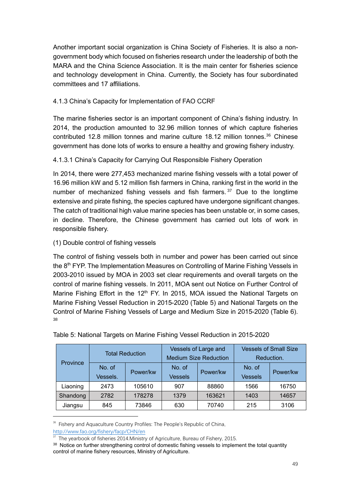Another important social organization is China Society of Fisheries. It is also a nongovernment body which focused on fisheries research under the leadership of both the MARA and the China Science Association. It is the main center for fisheries science and technology development in China. Currently, the Society has four subordinated committees and 17 affiliations.

### 4.1.3 China's Capacity for Implementation of FAO CCRF

The marine fisheries sector is an important component of China's fishing industry. In 2014, the production amounted to 32.96 million tonnes of which capture fisheries contributed 12.8 million tonnes and marine culture 18.12 million tonnes.<sup>36</sup> Chinese government has done lots of works to ensure a healthy and growing fishery industry.

### 4.1.3.1 China's Capacity for Carrying Out Responsible Fishery Operation

In 2014, there were 277,453 mechanized marine fishing vessels with a total power of 16.96 million kW and 5.12 million fish farmers in China, ranking first in the world in the number of mechanized fishing vessels and fish farmers.<sup>37</sup> Due to the longtime extensive and pirate fishing, the species captured have undergone significant changes. The catch of traditional high value marine species has been unstable or, in some cases, in decline. Therefore, the Chinese government has carried out lots of work in responsible fishery.

### (1) Double control of fishing vessels

The control of fishing vessels both in number and power has been carried out since the  $8<sup>th</sup>$  FYP. The Implementation Measures on Controlling of Marine Fishing Vessels in 2003-2010 issued by MOA in 2003 set clear requirements and overall targets on the control of marine fishing vessels. In 2011, MOA sent out Notice on Further Control of Marine Fishing Effort in the 12<sup>th</sup> FY. In 2015, MOA issued the National Targets on Marine Fishing Vessel Reduction in 2015-2020 (Table 5) and National Targets on the Control of Marine Fishing Vessels of Large and Medium Size in 2015-2020 (Table 6). 38

|          | <b>Total Reduction</b> |          |                          | Vessels of Large and<br><b>Medium Size Reduction</b> | <b>Vessels of Small Size</b><br>Reduction. |          |  |
|----------|------------------------|----------|--------------------------|------------------------------------------------------|--------------------------------------------|----------|--|
| Province | No. of<br>Vessels.     | Power/kw | No. of<br><b>Vessels</b> | Power/kw                                             | No. of<br><b>Vessels</b>                   | Power/kw |  |
| Liaoning | 2473                   | 105610   | 907                      | 88860                                                | 1566                                       | 16750    |  |
| Shandong | 2782                   | 178278   | 1379                     | 163621                                               | 1403                                       | 14657    |  |
| Jiangsu  | 845                    | 73846    | 630                      | 70740                                                | 215                                        | 3106     |  |

Table 5: National Targets on Marine Fishing Vessel Reduction in 2015-2020

<sup>&</sup>lt;sup>36</sup> Fishery and Aquaculture Country Profiles: The People's Republic of China, <http://www.fao.org/fishery/facp/CHN/en>

The yearbook of fisheries 2014.Ministry of Agriculture, Bureau of Fishery, 2015.

<sup>&</sup>lt;sup>38</sup> Notice on further strengthening control of domestic fishing vessels to implement the total quantity control of marine fishery resources, Ministry of Agriculture.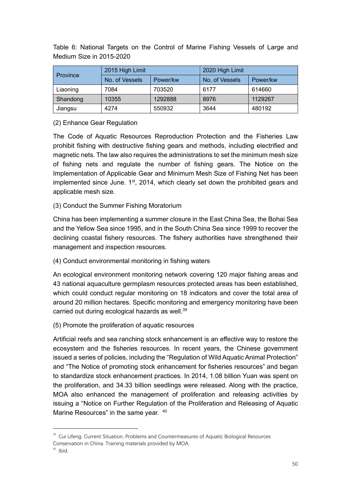Table 6: National Targets on the Control of Marine Fishing Vessels of Large and Medium Size in 2015-2020

| <b>Province</b> | 2015 High Limit |          | 2020 High Limit |          |  |
|-----------------|-----------------|----------|-----------------|----------|--|
|                 | No. of Vessels  | Power/kw | No. of Vessels  | Power/kw |  |
| Liaoning        | 7084            | 703520   | 6177            | 614660   |  |
| Shandong        | 10355           | 1292888  | 8976            | 1129267  |  |
| Jiangsu         | 4274            | 550932   | 3644            | 480192   |  |

(2) Enhance Gear Regulation

The Code of Aquatic Resources Reproduction Protection and the Fisheries Law prohibit fishing with destructive fishing gears and methods, including electrified and magnetic nets. The law also requires the administrations to set the minimum mesh size of fishing nets and regulate the number of fishing gears. The Notice on the Implementation of Applicable Gear and Minimum Mesh Size of Fishing Net has been implemented since June. 1<sup>st</sup>, 2014, which clearly set down the prohibited gears and applicable mesh size.

(3) Conduct the Summer Fishing Moratorium

China has been implementing a summer closure in the East China Sea, the Bohai Sea and the Yellow Sea since 1995, and in the South China Sea since 1999 to recover the declining coastal fishery resources. The fishery authorities have strengthened their management and inspection resources.

(4) Conduct environmental monitoring in fishing waters

An ecological environment monitoring network covering 120 major fishing areas and 43 national aquaculture germplasm resources protected areas has been established, which could conduct regular monitoring on 18 indicators and cover the total area of around 20 million hectares. Specific monitoring and emergency monitoring have been carried out during ecological hazards as well.<sup>39</sup>

(5) Promote the proliferation of aquatic resources

Artificial reefs and sea ranching stock enhancement is an effective way to restore the ecosystem and the fisheries resources. In recent years, the Chinese government issued a series of policies, including the "Regulation of Wild Aquatic Animal Protection" and "The Notice of promoting stock enhancement for fisheries resources" and began to standardize stock enhancement practices. In 2014, 1.08 billion Yuan was spent on the proliferation, and 34.33 billion seedlings were released. Along with the practice, MOA also enhanced the management of proliferation and releasing activities by issuing a "Notice on Further Regulation of the Proliferation and Releasing of Aquatic Marine Resources" in the same year. 40

<sup>&</sup>lt;sup>39</sup> Cui Lifeng. Current Situation, Problems and Countermeasures of Aquatic Biological Resources

Conservation in China. Training materials provided by MOA.

 $40$  Ibid.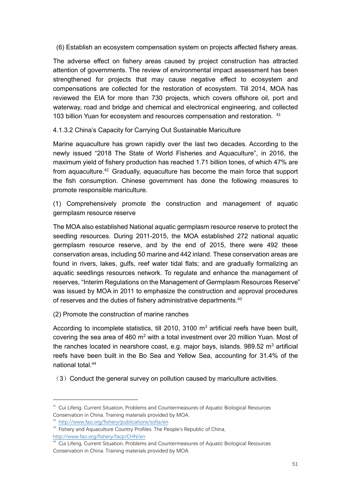(6) Establish an ecosystem compensation system on projects affected fishery areas.

The adverse effect on fishery areas caused by project construction has attracted attention of governments. The review of environmental impact assessment has been strengthened for projects that may cause negative effect to ecosystem and compensations are collected for the restoration of ecosystem. Till 2014, MOA has reviewed the EIA for more than 730 projects, which covers offshore oil, port and waterway, road and bridge and chemical and electronical engineering, and collected 103 billion Yuan for ecosystem and resources compensation and restoration. <sup>41</sup>

4.1.3.2 China's Capacity for Carrying Out Sustainable Mariculture

Marine aquaculture has grown rapidly over the last two decades. According to the newly issued "2018 The State of World Fisheries and Aquaculture", in 2016, the maximum yield of fishery production has reached 1.71 billion tones, of which 47% are from aquaculture.<sup>42</sup> Gradually, aquaculture has become the main force that support the fish consumption. Chinese government has done the following measures to promote responsible mariculture.

(1) Comprehensively promote the construction and management of aquatic germplasm resource reserve

The MOA also established National aquatic germplasm resource reserve to protect the seedling resources. During 2011-2015, the MOA established 272 national aquatic germplasm resource reserve, and by the end of 2015, there were 492 these conservation areas, including 50 marine and 442 inland. These conservation areas are found in rivers, lakes, gulfs, reef water tidal flats; and are gradually formalizing an aquatic seedlings resources network. To regulate and enhance the management of reserves, "Interim Regulations on the Management of Germplasm Resources Reserve" was issued by MOA in 2011 to emphasize the construction and approval procedures of reserves and the duties of fishery administrative departments.<sup>43</sup>

(2) Promote the construction of marine ranches

According to incomplete statistics, till 2010, 3100  $m<sup>3</sup>$  artificial reefs have been built, covering the sea area of 460  $m^2$  with a total investment over 20 million Yuan. Most of the ranches located in nearshore coast, e.g. major bays, islands.  $989.52 \text{ m}^3$  artificial reefs have been built in the Bo Sea and Yellow Sea, accounting for 31.4% of the national total. 44

 $(3)$  Conduct the general survey on pollution caused by mariculture activities.

<sup>&</sup>lt;sup>41</sup> Cui Lifeng. Current Situation, Problems and Countermeasures of Aquatic Biological Resources Conservation in China. Training materials provided by MOA.

<sup>42</sup> <http://www.fao.org/fishery/publications/sofia/en>

<sup>&</sup>lt;sup>43</sup> Fishery and Aquaculture Country Profiles: The People's Republic of China, <http://www.fao.org/fishery/facp/CHN/en>

<sup>44</sup> Cui Lifeng. Current Situation, Problems and Countermeasures of Aquatic Biological Resources Conservation in China. Training materials provided by MOA.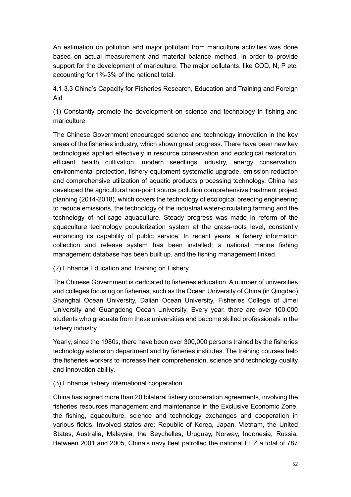An estimation on pollution and major pollutant from mariculture activities was done based on actual measurement and material balance method, in order to provide support for the development of mariculture. The major pollutants, like COD, N, P etc. accounting for 1%-3% of the national total.

4.1.3.3 China's Capacity for Fisheries Research, Education and Training and Foreign Aid

(1) Constantly promote the development on science and technology in fishing and mariculture.

The Chinese Government encouraged science and technology innovation in the key areas of the fisheries industry, which shown great progress. There have been new key technologies applied effectively in resource conservation and ecological restoration, efficient health cultivation, modern seedlings industry, energy conservation, environmental protection, fishery equipment systematic upgrade, emission reduction and comprehensive utilization of aquatic products processing technology. China has developed the agricultural non-point source pollution comprehensive treatment project planning (2014-2018), which covers the technology of ecological breeding engineering to reduce emissions, the technology of the industrial water-circulating farming and the technology of net-cage aquaculture. Steady progress was made in reform of the aquaculture technology popularization system at the grass-roots level, constantly enhancing its capability of public service. In recent years, a fishery information collection and release system has been installed; a national marine fishing management database has been built up, and the fishing management linked.

(2) Enhance Education and Training on Fishery

The Chinese Government is dedicated to fisheries education. A number of universities and colleges focusing on fisheries, such as the Ocean University of China (in Qingdao), Shanghai Ocean University, Dalian Ocean University, Fisheries College of Jimei University and Guangdong Ocean University. Every year, there are over 100,000 students who graduate from these universities and become skilled professionals in the fishery industry.

Yearly, since the 1980s, there have been over 300,000 persons trained by the fisheries technology extension department and by fisheries institutes. The training courses help the fisheries workers to increase their comprehension, science and technology quality and innovation ability.

### (3) Enhance fishery international cooperation

China has signed more than 20 bilateral fishery cooperation agreements, involving the fisheries resources management and maintenance in the Exclusive Economic Zone, the fishing, aquaculture, science and technology exchanges and cooperation in various fields. Involved states are: Republic of Korea, Japan, Vietnam, the United States, Australia, Malaysia, the Seychelles, Uruguay, Norway, Indonesia, Russia. Between 2001 and 2005, China's navy fleet patrolled the national EEZ a total of 787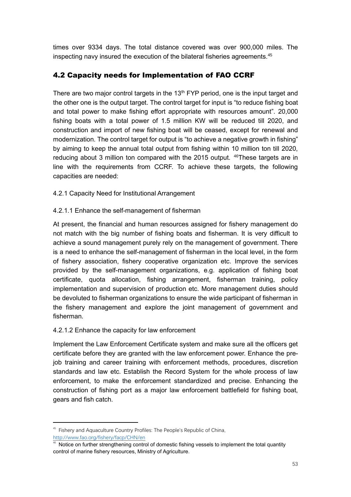times over 9334 days. The total distance covered was over 900,000 miles. The inspecting navy insured the execution of the bilateral fisheries agreements.<sup>45</sup>

### 4.2 Capacity needs for Implementation of FAO CCRF

There are two major control targets in the  $13<sup>th</sup>$  FYP period, one is the input target and the other one is the output target. The control target for input is "to reduce fishing boat and total power to make fishing effort appropriate with resources amount". 20,000 fishing boats with a total power of 1.5 million KW will be reduced till 2020, and construction and import of new fishing boat will be ceased, except for renewal and modernization. The control target for output is "to achieve a negative growth in fishing" by aiming to keep the annual total output from fishing within 10 million ton till 2020, reducing about 3 million ton compared with the 2015 output. <sup>46</sup>These targets are in line with the requirements from CCRF. To achieve these targets, the following capacities are needed:

4.2.1 Capacity Need for Institutional Arrangement

#### 4.2.1.1 Enhance the self-management of fisherman

At present, the financial and human resources assigned for fishery management do not match with the big number of fishing boats and fisherman. It is very difficult to achieve a sound management purely rely on the management of government. There is a need to enhance the self-management of fisherman in the local level, in the form of fishery association, fishery cooperative organization etc. Improve the services provided by the self-management organizations, e.g. application of fishing boat certificate, quota allocation, fishing arrangement, fisherman training, policy implementation and supervision of production etc. More management duties should be devoluted to fisherman organizations to ensure the wide participant of fisherman in the fishery management and explore the joint management of government and fisherman.

#### 4.2.1.2 Enhance the capacity for law enforcement

Implement the Law Enforcement Certificate system and make sure all the officers get certificate before they are granted with the law enforcement power. Enhance the prejob training and career training with enforcement methods, procedures, discretion standards and law etc. Establish the Record System for the whole process of law enforcement, to make the enforcement standardized and precise. Enhancing the construction of fishing port as a major law enforcement battlefield for fishing boat, gears and fish catch.

<sup>&</sup>lt;sup>45</sup> Fishery and Aquaculture Country Profiles: The People's Republic of China, <http://www.fao.org/fishery/facp/CHN/en>

Notice on further strengthening control of domestic fishing vessels to implement the total quantity control of marine fishery resources, Ministry of Agriculture.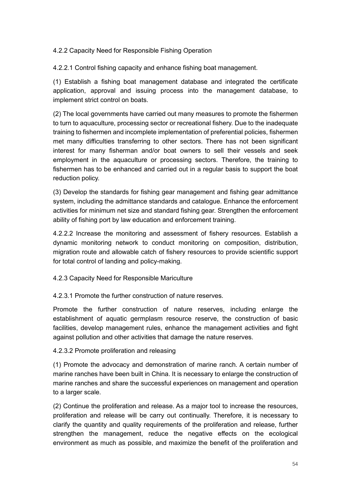4.2.2 Capacity Need for Responsible Fishing Operation

4.2.2.1 Control fishing capacity and enhance fishing boat management.

(1) Establish a fishing boat management database and integrated the certificate application, approval and issuing process into the management database, to implement strict control on boats.

(2) The local governments have carried out many measures to promote the fishermen to turn to aquaculture, processing sector or recreational fishery. Due to the inadequate training to fishermen and incomplete implementation of preferential policies, fishermen met many difficulties transferring to other sectors. There has not been significant interest for many fisherman and/or boat owners to sell their vessels and seek employment in the aquaculture or processing sectors. Therefore, the training to fishermen has to be enhanced and carried out in a regular basis to support the boat reduction policy.

(3) Develop the standards for fishing gear management and fishing gear admittance system, including the admittance standards and catalogue. Enhance the enforcement activities for minimum net size and standard fishing gear. Strengthen the enforcement ability of fishing port by law education and enforcement training.

4.2.2.2 Increase the monitoring and assessment of fishery resources. Establish a dynamic monitoring network to conduct monitoring on composition, distribution, migration route and allowable catch of fishery resources to provide scientific support for total control of landing and policy-making.

4.2.3 Capacity Need for Responsible Mariculture

4.2.3.1 Promote the further construction of nature reserves.

Promote the further construction of nature reserves, including enlarge the establishment of aquatic germplasm resource reserve, the construction of basic facilities, develop management rules, enhance the management activities and fight against pollution and other activities that damage the nature reserves.

#### 4.2.3.2 Promote proliferation and releasing

(1) Promote the advocacy and demonstration of marine ranch. A certain number of marine ranches have been built in China. It is necessary to enlarge the construction of marine ranches and share the successful experiences on management and operation to a larger scale.

(2) Continue the proliferation and release. As a major tool to increase the resources, proliferation and release will be carry out continually. Therefore, it is necessary to clarify the quantity and quality requirements of the proliferation and release, further strengthen the management, reduce the negative effects on the ecological environment as much as possible, and maximize the benefit of the proliferation and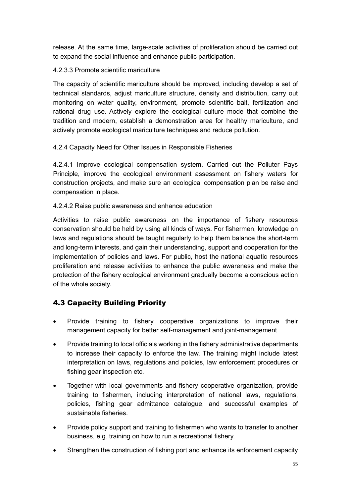release. At the same time, large-scale activities of proliferation should be carried out to expand the social influence and enhance public participation.

4.2.3.3 Promote scientific mariculture

The capacity of scientific mariculture should be improved, including develop a set of technical standards, adjust mariculture structure, density and distribution, carry out monitoring on water quality, environment, promote scientific bait, fertilization and rational drug use. Actively explore the ecological culture mode that combine the tradition and modern, establish a demonstration area for healthy mariculture, and actively promote ecological mariculture techniques and reduce pollution.

4.2.4 Capacity Need for Other Issues in Responsible Fisheries

4.2.4.1 Improve ecological compensation system. Carried out the Polluter Pays Principle, improve the ecological environment assessment on fishery waters for construction projects, and make sure an ecological compensation plan be raise and compensation in place.

4.2.4.2 Raise public awareness and enhance education

Activities to raise public awareness on the importance of fishery resources conservation should be held by using all kinds of ways. For fishermen, knowledge on laws and regulations should be taught regularly to help them balance the short-term and long-term interests, and gain their understanding, support and cooperation for the implementation of policies and laws. For public, host the national aquatic resources proliferation and release activities to enhance the public awareness and make the protection of the fishery ecological environment gradually become a conscious action of the whole society.

### 4.3 Capacity Building Priority

- Provide training to fishery cooperative organizations to improve their management capacity for better self-management and joint-management.
- Provide training to local officials working in the fishery administrative departments to increase their capacity to enforce the law. The training might include latest interpretation on laws, regulations and policies, law enforcement procedures or fishing gear inspection etc.
- Together with local governments and fishery cooperative organization, provide training to fishermen, including interpretation of national laws, regulations, policies, fishing gear admittance catalogue, and successful examples of sustainable fisheries.
- Provide policy support and training to fishermen who wants to transfer to another business, e.g. training on how to run a recreational fishery.
- Strengthen the construction of fishing port and enhance its enforcement capacity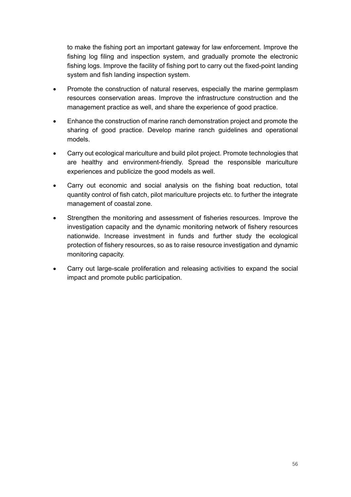to make the fishing port an important gateway for law enforcement. Improve the fishing log filing and inspection system, and gradually promote the electronic fishing logs. Improve the facility of fishing port to carry out the fixed-point landing system and fish landing inspection system.

- Promote the construction of natural reserves, especially the marine germplasm resources conservation areas. Improve the infrastructure construction and the management practice as well, and share the experience of good practice.
- Enhance the construction of marine ranch demonstration project and promote the sharing of good practice. Develop marine ranch guidelines and operational models.
- Carry out ecological mariculture and build pilot project. Promote technologies that are healthy and environment-friendly. Spread the responsible mariculture experiences and publicize the good models as well.
- Carry out economic and social analysis on the fishing boat reduction, total quantity control of fish catch, pilot mariculture projects etc. to further the integrate management of coastal zone.
- Strengthen the monitoring and assessment of fisheries resources. Improve the investigation capacity and the dynamic monitoring network of fishery resources nationwide. Increase investment in funds and further study the ecological protection of fishery resources, so as to raise resource investigation and dynamic monitoring capacity.
- Carry out large-scale proliferation and releasing activities to expand the social impact and promote public participation.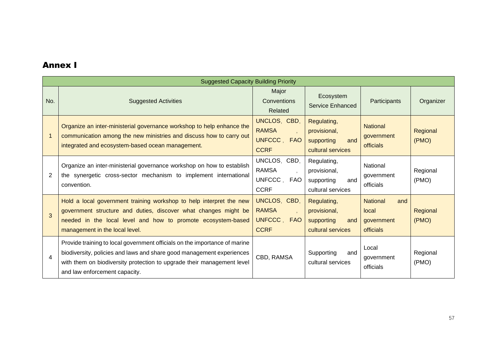### Annex I

|                | <b>Suggested Capacity Building Priority</b>                                                                                                                                                                                                                    |                                                            |                                                                       |                                                            |                   |  |  |  |
|----------------|----------------------------------------------------------------------------------------------------------------------------------------------------------------------------------------------------------------------------------------------------------------|------------------------------------------------------------|-----------------------------------------------------------------------|------------------------------------------------------------|-------------------|--|--|--|
| No.            | <b>Suggested Activities</b>                                                                                                                                                                                                                                    | Major<br><b>Conventions</b><br>Related                     | Ecosystem<br>Service Enhanced                                         | Participants                                               | Organizer         |  |  |  |
|                | Organize an inter-ministerial governance workshop to help enhance the<br>communication among the new ministries and discuss how to carry out<br>integrated and ecosystem-based ocean management.                                                               | UNCLOS, CBD,<br><b>RAMSA</b><br>UNFCCC, FAO<br><b>CCRF</b> | Regulating,<br>provisional,<br>and<br>supporting<br>cultural services | <b>National</b><br>government<br>officials                 | Regional<br>(PMO) |  |  |  |
| $\overline{2}$ | Organize an inter-ministerial governance workshop on how to establish<br>the synergetic cross-sector mechanism to implement international<br>convention.                                                                                                       | UNCLOS, CBD,<br><b>RAMSA</b><br>UNFCCC, FAO<br><b>CCRF</b> | Regulating,<br>provisional,<br>supporting<br>and<br>cultural services | National<br>government<br>officials                        | Regional<br>(PMO) |  |  |  |
| 3              | Hold a local government training workshop to help interpret the new<br>government structure and duties, discover what changes might be<br>needed in the local level and how to promote ecosystem-based<br>management in the local level.                       | UNCLOS, CBD,<br><b>RAMSA</b><br>UNFCCC, FAO<br><b>CCRF</b> | Regulating,<br>provisional,<br>supporting<br>and<br>cultural services | <b>National</b><br>and<br>local<br>government<br>officials | Regional<br>(PMO) |  |  |  |
| $\overline{4}$ | Provide training to local government officials on the importance of marine<br>biodiversity, policies and laws and share good management experiences<br>with them on biodiversity protection to upgrade their management level<br>and law enforcement capacity. | CBD, RAMSA                                                 | and<br>Supporting<br>cultural services                                | Local<br>government<br>officials                           | Regional<br>(PMO) |  |  |  |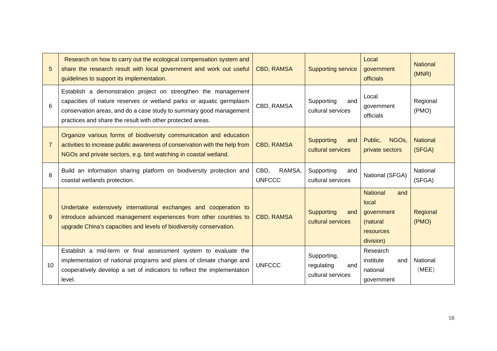| 5              | Research on how to carry out the ecological compensation system and<br>share the research result with local government and work out useful<br>guidelines to support its implementation.                                                                                   | <b>CBD, RAMSA</b>               | <b>Supporting service</b>                             | Local<br>government<br>officials                                                    | <b>National</b><br>(MNR)  |
|----------------|---------------------------------------------------------------------------------------------------------------------------------------------------------------------------------------------------------------------------------------------------------------------------|---------------------------------|-------------------------------------------------------|-------------------------------------------------------------------------------------|---------------------------|
| 6              | Establish a demonstration project on strengthen the management<br>capacities of nature reserves or wetland parks or aquatic germplasm<br>conservation areas, and do a case study to summary good management<br>practices and share the result with other protected areas. | CBD, RAMSA                      | Supporting<br>and<br>cultural services                | Local<br>government<br>officials                                                    | Regional<br>(PMO)         |
| $\overline{7}$ | Organize various forms of biodiversity communication and education<br>activities to increase public awareness of conservation with the help from<br>NGOs and private sectors, e.g. bird watching in coastal wetland.                                                      | <b>CBD, RAMSA</b>               | <b>Supporting</b><br>and<br>cultural services         | NGO <sub>s</sub><br>Public.<br>private sectors                                      | <b>National</b><br>(SFGA) |
| 8              | Build an information sharing platform on biodiversity protection and<br>coastal wetlands protection.                                                                                                                                                                      | CBD,<br>RAMSA,<br><b>UNFCCC</b> | Supporting<br>and<br>cultural services                | National (SFGA)                                                                     | National<br>(SFGA)        |
| 9              | Undertake extensively international exchanges and cooperation to<br>introduce advanced management experiences from other countries to<br>upgrade China's capacities and levels of biodiversity conservation.                                                              | <b>CBD, RAMSA</b>               | <b>Supporting</b><br>and<br>cultural services         | <b>National</b><br>and<br>local<br>government<br>(natural<br>resources<br>division) | Regional<br>(PMO)         |
| 10             | Establish a mid-term or final assessment system to evaluate the<br>implementation of national programs and plans of climate change and<br>cooperatively develop a set of indicators to reflect the implementation<br>level.                                               | <b>UNFCCC</b>                   | Supporting,<br>regulating<br>and<br>cultural services | Research<br>institute<br>and<br>national<br>government                              | National<br>(MEE)         |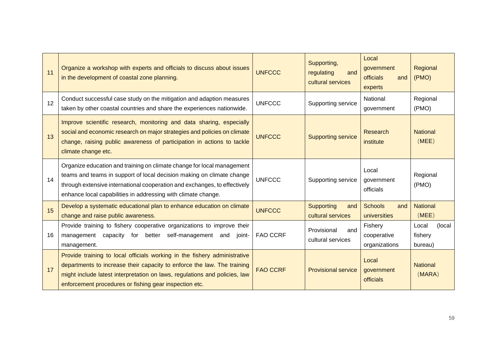| 11 | Organize a workshop with experts and officials to discuss about issues<br>in the development of coastal zone planning.                                                                                                                                                                        | <b>UNFCCC</b>   | Supporting,<br>regulating<br>and<br>cultural services | Local<br>government<br><b>officials</b><br>and<br>experts | Regional<br>(PMO)                     |
|----|-----------------------------------------------------------------------------------------------------------------------------------------------------------------------------------------------------------------------------------------------------------------------------------------------|-----------------|-------------------------------------------------------|-----------------------------------------------------------|---------------------------------------|
| 12 | Conduct successful case study on the mitigation and adaption measures<br>taken by other coastal countries and share the experiences nationwide.                                                                                                                                               | <b>UNFCCC</b>   | Supporting service                                    | National<br>government                                    | Regional<br>(PMO)                     |
| 13 | Improve scientific research, monitoring and data sharing, especially<br>social and economic research on major strategies and policies on climate<br>change, raising public awareness of participation in actions to tackle<br>climate change etc.                                             | <b>UNFCCC</b>   | <b>Supporting service</b>                             | <b>Research</b><br>institute                              | <b>National</b><br>(MEE)              |
| 14 | Organize education and training on climate change for local management<br>teams and teams in support of local decision making on climate change<br>through extensive international cooperation and exchanges, to effectively<br>enhance local capabilities in addressing with climate change. | <b>UNFCCC</b>   | Supporting service                                    | Local<br>government<br>officials                          | Regional<br>(PMO)                     |
| 15 | Develop a systematic educational plan to enhance education on climate<br>change and raise public awareness.                                                                                                                                                                                   | <b>UNFCCC</b>   | <b>Supporting</b><br>and<br>cultural services         | <b>Schools</b><br>and<br>universities                     | <b>National</b><br>(MEE)              |
| 16 | Provide training to fishery cooperative organizations to improve their<br>management capacity for<br>self-management and<br>better<br>joint-<br>management.                                                                                                                                   | <b>FAO CCRF</b> | Provisional<br>and<br>cultural services               | Fishery<br>cooperative<br>organizations                   | (local<br>Local<br>fishery<br>bureau) |
| 17 | Provide training to local officials working in the fishery administrative<br>departments to increase their capacity to enforce the law. The training<br>might include latest interpretation on laws, regulations and policies, law<br>enforcement procedures or fishing gear inspection etc.  | <b>FAO CCRF</b> | <b>Provisional service</b>                            | Local<br>government<br>officials                          | <b>National</b><br>(MARA)             |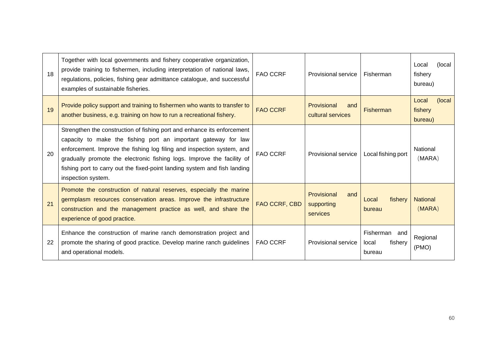| 18 | Together with local governments and fishery cooperative organization,<br>provide training to fishermen, including interpretation of national laws,<br>regulations, policies, fishing gear admittance catalogue, and successful<br>examples of sustainable fisheries.                                                                                                                             | <b>FAO CCRF</b> | <b>Provisional service</b>                   | Fisherman                                   | (local)<br>Local<br>fishery<br>bureau) |
|----|--------------------------------------------------------------------------------------------------------------------------------------------------------------------------------------------------------------------------------------------------------------------------------------------------------------------------------------------------------------------------------------------------|-----------------|----------------------------------------------|---------------------------------------------|----------------------------------------|
| 19 | Provide policy support and training to fishermen who wants to transfer to<br>another business, e.g. training on how to run a recreational fishery.                                                                                                                                                                                                                                               | <b>FAO CCRF</b> | Provisional<br>and<br>cultural services      | <b>Fisherman</b>                            | (local)<br>Local<br>fishery<br>bureau) |
| 20 | Strengthen the construction of fishing port and enhance its enforcement<br>capacity to make the fishing port an important gateway for law<br>enforcement. Improve the fishing log filing and inspection system, and<br>gradually promote the electronic fishing logs. Improve the facility of<br>fishing port to carry out the fixed-point landing system and fish landing<br>inspection system. | <b>FAO CCRF</b> | Provisional service                          | Local fishing port                          | National<br>(MARA)                     |
| 21 | Promote the construction of natural reserves, especially the marine<br>germplasm resources conservation areas. Improve the infrastructure<br>construction and the management practice as well, and share the<br>experience of good practice.                                                                                                                                                     | FAO CCRF, CBD   | Provisional<br>and<br>supporting<br>services | fisherv<br>Local<br>bureau                  | <b>National</b><br>(MARA)              |
| 22 | Enhance the construction of marine ranch demonstration project and<br>promote the sharing of good practice. Develop marine ranch guidelines<br>and operational models.                                                                                                                                                                                                                           | <b>FAO CCRF</b> | Provisional service                          | Fisherman and<br>fishery<br>local<br>bureau | Regional<br>(PMO)                      |